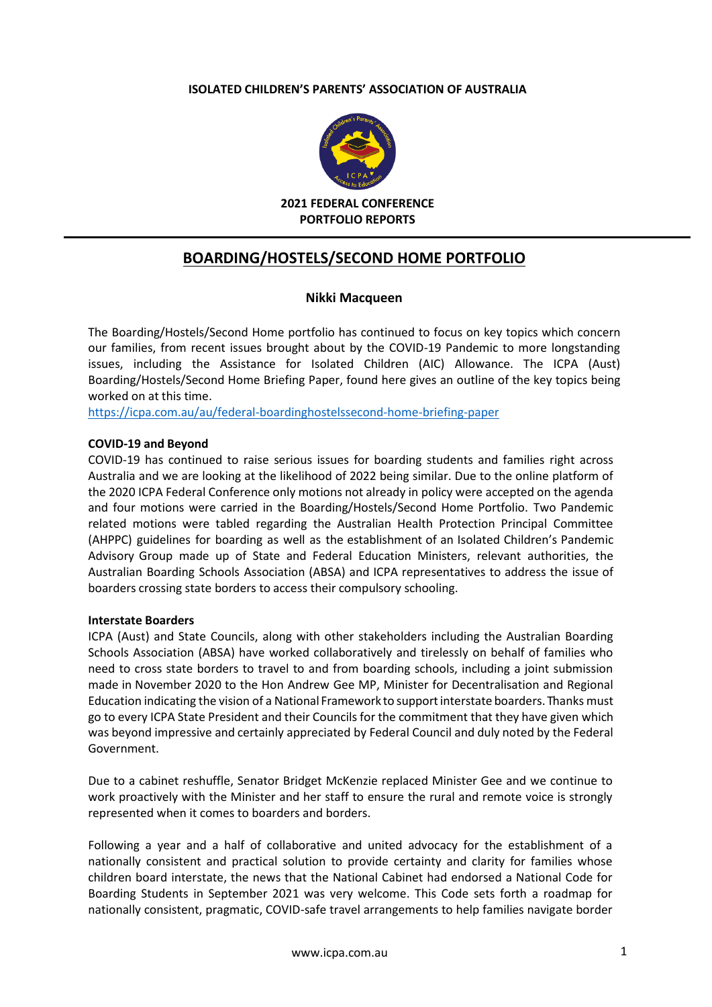#### **ISOLATED CHILDREN'S PARENTS' ASSOCIATION OF AUSTRALIA**



**2021 FEDERAL CONFERENCE PORTFOLIO REPORTS**

# **BOARDING/HOSTELS/SECOND HOME PORTFOLIO**

#### **Nikki Macqueen**

The Boarding/Hostels/Second Home portfolio has continued to focus on key topics which concern our families, from recent issues brought about by the COVID-19 Pandemic to more longstanding issues, including the Assistance for Isolated Children (AIC) Allowance. The ICPA (Aust) Boarding/Hostels/Second Home Briefing Paper, found here gives an outline of the key topics being worked on at this time.

<https://icpa.com.au/au/federal-boardinghostelssecond-home-briefing-paper>

#### **COVID-19 and Beyond**

COVID-19 has continued to raise serious issues for boarding students and families right across Australia and we are looking at the likelihood of 2022 being similar. Due to the online platform of the 2020 ICPA Federal Conference only motions not already in policy were accepted on the agenda and four motions were carried in the Boarding/Hostels/Second Home Portfolio. Two Pandemic related motions were tabled regarding the Australian Health Protection Principal Committee (AHPPC) guidelines for boarding as well as the establishment of an Isolated Children's Pandemic Advisory Group made up of State and Federal Education Ministers, relevant authorities, the Australian Boarding Schools Association (ABSA) and ICPA representatives to address the issue of boarders crossing state borders to access their compulsory schooling.

#### **Interstate Boarders**

ICPA (Aust) and State Councils, along with other stakeholders including the Australian Boarding Schools Association (ABSA) have worked collaboratively and tirelessly on behalf of families who need to cross state borders to travel to and from boarding schools, including a joint submission made in November 2020 to the Hon Andrew Gee MP, Minister for Decentralisation and Regional Education indicating the vision of a National Framework to supportinterstate boarders. Thanks must go to every ICPA State President and their Councils for the commitment that they have given which was beyond impressive and certainly appreciated by Federal Council and duly noted by the Federal Government.

Due to a cabinet reshuffle, Senator Bridget McKenzie replaced Minister Gee and we continue to work proactively with the Minister and her staff to ensure the rural and remote voice is strongly represented when it comes to boarders and borders.

Following a year and a half of collaborative and united advocacy for the establishment of a nationally consistent and practical solution to provide certainty and clarity for families whose children board interstate, the news that the National Cabinet had endorsed a National Code for Boarding Students in September 2021 was very welcome. This Code sets forth a roadmap for nationally consistent, pragmatic, COVID-safe travel arrangements to help families navigate border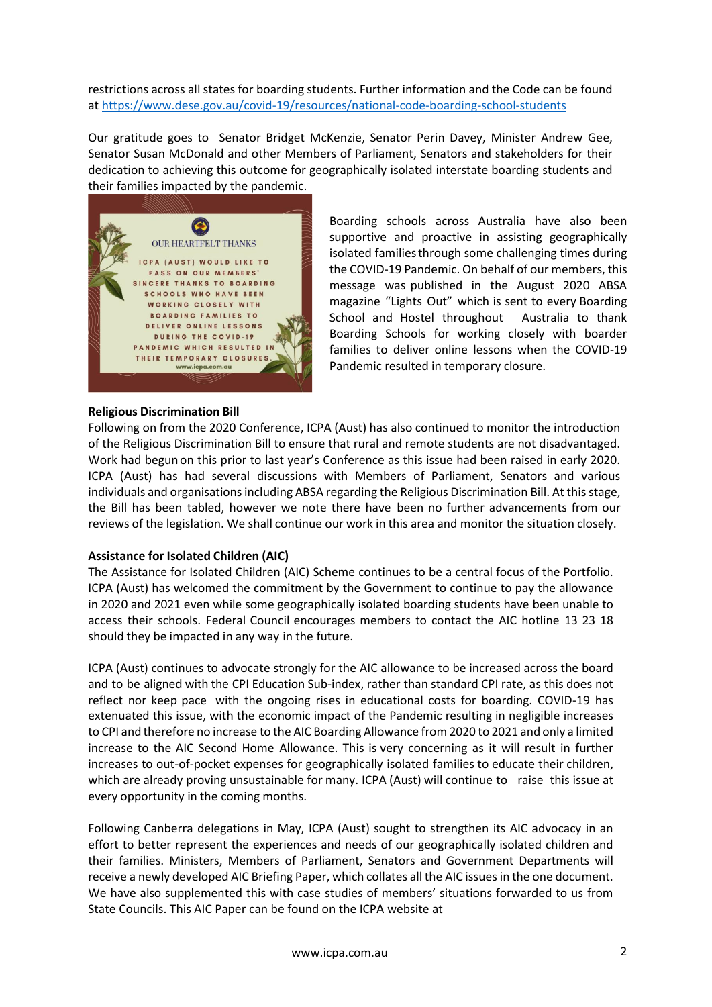restrictions across all states for boarding students. Further information and the Code can be found at<https://www.dese.gov.au/covid-19/resources/national-code-boarding-school-students>

Our gratitude goes to Senator Bridget [McKenzie,](https://www.facebook.com/senatormckenzie?__cft__%5b0%5d=AZWkTtuLMXemJejc7wik3CeBEsxi8rOLWNBPg-1tXvGbtwrY-w1UwUhXJPsbg-va3paylElfQjEKupIi4pCJb2Qc6iTFvB5ALjudEACmayhgFiYosp8yOKE9WrZIejgm_LImUlKbxAtyRF12gFVTrXJSMtBiUE027umIehL5z_6t99bSJgD40tU4yaVy99SjPNU&__tn__=-%5dK-R) Senator Perin Davey, Minister Andrew Gee, Senator Susan McDonald and other Members of Parliament, Senators and stakeholders for their dedication to achieving this outcome for geographically isolated interstate boarding students and their families impacted by the pandemic.



### **Religious Discrimination Bill**

Boarding schools across Australia have also been supportive and proactive in assisting geographically isolated families through some challenging times during the COVID-19 Pandemic. On behalf of our members, this message was published in the August 2020 ABSA magazine "Lights Out" which is sent to every Boarding School and Hostel throughout Australia to thank Boarding Schools for working closely with boarder families to deliver online lessons when the COVID-19 Pandemic resulted in temporary closure.

Following on from the 2020 Conference, ICPA (Aust) has also continued to monitor the introduction of the Religious Discrimination Bill to ensure that rural and remote students are not disadvantaged. Work had begun on this prior to last year's Conference as this issue had been raised in early 2020. ICPA (Aust) has had several discussions with Members of Parliament, Senators and various individuals and organisations including ABSA regarding the Religious Discrimination Bill. At this stage, the Bill has been tabled, however we note there have been no further advancements from our reviews of the legislation. We shall continue our work in this area and monitor the situation closely.

### **Assistance for Isolated Children (AIC)**

The Assistance for Isolated Children (AIC) Scheme continues to be a central focus of the Portfolio. ICPA (Aust) has welcomed the commitment by the Government to continue to pay the allowance in 2020 and 2021 even while some geographically isolated boarding students have been unable to access their schools. Federal Council encourages members to contact the AIC hotline 13 23 18 should they be impacted in any way in the future.

ICPA (Aust) continues to advocate strongly for the AIC allowance to be increased across the board and to be aligned with the CPI Education Sub-index, rather than standard CPI rate, as this does not reflect nor keep pace with the ongoing rises in educational costs for boarding. COVID-19 has extenuated this issue, with the economic impact of the Pandemic resulting in negligible increases to CPI and therefore no increase to the AIC Boarding Allowance from2020 to 2021 and only a limited increase to the AIC Second Home Allowance. This is very concerning as it will result in further increases to out-of-pocket expenses for geographically isolated families to educate their children, which are already proving unsustainable for many. ICPA (Aust) will continue to raise this issue at every opportunity in the coming months.

Following Canberra delegations in May, ICPA (Aust) sought to strengthen its AIC advocacy in an effort to better represent the experiences and needs of our geographically isolated children and their families. Ministers, Members of Parliament, Senators and Government Departments will receive a newly developed AIC Briefing Paper, which collates all the AIC issues in the one document. We have also supplemented this with case studies of members' situations forwarded to us from State Councils. This AIC Paper can be found on the ICPA website at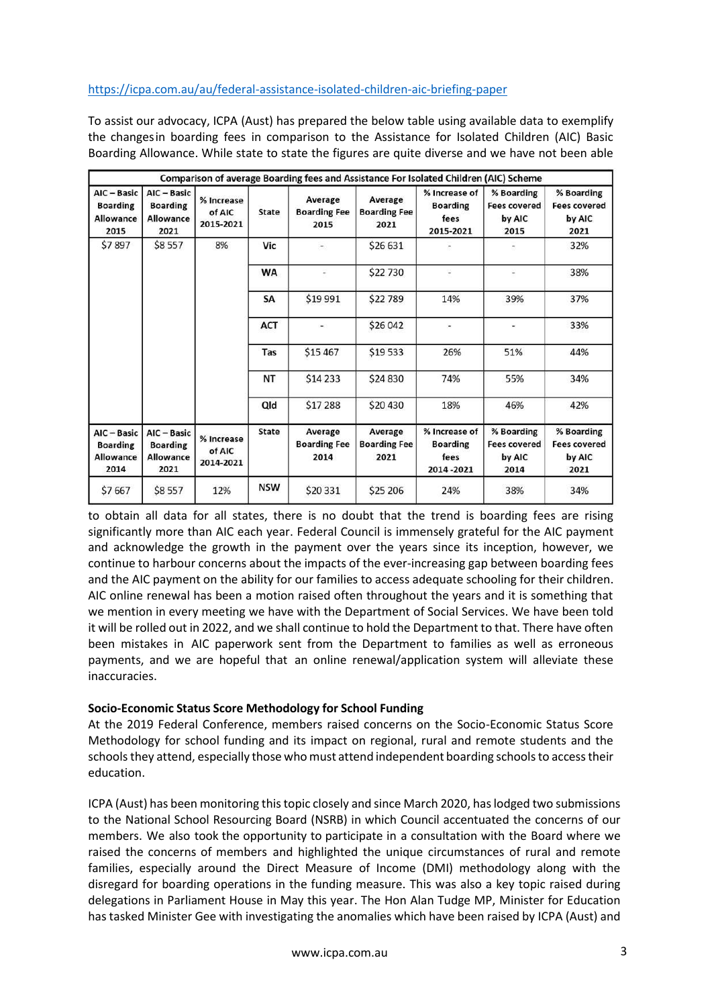### <https://icpa.com.au/au/federal-assistance-isolated-children-aic-briefing-paper>

To assist our advocacy, ICPA (Aust) has prepared the below table using available data to exemplify the changesin boarding fees in comparison to the Assistance for Isolated Children (AIC) Basic Boarding Allowance. While state to state the figures are quite diverse and we have not been able

|                                                            |                                                            |                                   |              | Comparison of average Boarding fees and Assistance For Isolated Children (AIC) Scheme |                                        |                                                       |                                                     |                                                     |
|------------------------------------------------------------|------------------------------------------------------------|-----------------------------------|--------------|---------------------------------------------------------------------------------------|----------------------------------------|-------------------------------------------------------|-----------------------------------------------------|-----------------------------------------------------|
| AIC - Basic<br><b>Boarding</b><br>Allowance<br>2015        | AIC - Basic<br><b>Boarding</b><br><b>Allowance</b><br>2021 | % Increase<br>of AIC<br>2015-2021 | <b>State</b> | Average<br><b>Boarding Fee</b><br>2015                                                | Average<br><b>Boarding Fee</b><br>2021 | % Increase of<br><b>Boarding</b><br>fees<br>2015-2021 | % Boarding<br><b>Fees covered</b><br>by AIC<br>2015 | % Boarding<br><b>Fees covered</b><br>by AIC<br>2021 |
| \$7897                                                     | \$8557                                                     | 8%                                | Vic          | $\frac{1}{2}$                                                                         | \$26 631                               |                                                       |                                                     | 32%                                                 |
|                                                            |                                                            |                                   | <b>WA</b>    |                                                                                       | \$22 730                               | ۵                                                     | $\frac{1}{2}$                                       | 38%                                                 |
|                                                            |                                                            |                                   | SA           | \$19 991                                                                              | \$22789                                | 14%                                                   | 39%                                                 | 37%                                                 |
|                                                            |                                                            |                                   | <b>ACT</b>   |                                                                                       | \$26 042                               | ÷.                                                    | $\blacksquare$                                      | 33%                                                 |
|                                                            |                                                            |                                   | Tas          | \$15 467                                                                              | \$19 533                               | 26%                                                   | 51%                                                 | 44%                                                 |
|                                                            |                                                            |                                   | <b>NT</b>    | \$14 233                                                                              | \$24 830                               | 74%                                                   | 55%                                                 | 34%                                                 |
|                                                            |                                                            |                                   | Qld          | \$17 288                                                                              | \$20 430                               | 18%                                                   | 46%                                                 | 42%                                                 |
| AIC - Basic<br><b>Boarding</b><br><b>Allowance</b><br>2014 | AIC - Basic<br><b>Boarding</b><br><b>Allowance</b><br>2021 | % Increase<br>of AIC<br>2014-2021 | <b>State</b> | Average<br><b>Boarding Fee</b><br>2014                                                | Average<br><b>Boarding Fee</b><br>2021 | % Increase of<br><b>Boarding</b><br>fees<br>2014-2021 | % Boarding<br><b>Fees covered</b><br>by AIC<br>2014 | % Boarding<br><b>Fees covered</b><br>by AIC<br>2021 |
| \$7667                                                     | \$8557                                                     | 12%                               | <b>NSW</b>   | \$20 331                                                                              | \$25 206                               | 24%                                                   | 38%                                                 | 34%                                                 |

to obtain all data for all states, there is no doubt that the trend is boarding fees are rising significantly more than AIC each year. Federal Council is immensely grateful for the AIC payment and acknowledge the growth in the payment over the years since its inception, however, we continue to harbour concerns about the impacts of the ever-increasing gap between boarding fees and the AIC payment on the ability for our families to access adequate schooling for their children. AIC online renewal has been a motion raised often throughout the years and it is something that we mention in every meeting we have with the Department of Social Services. We have been told it will be rolled out in 2022, and we shall continue to hold the Department to that. There have often been mistakes in AIC paperwork sent from the Department to families as well as erroneous payments, and we are hopeful that an online renewal/application system will alleviate these inaccuracies.

### **Socio-Economic Status Score Methodology for School Funding**

At the 2019 Federal Conference, members raised concerns on the Socio-Economic Status Score Methodology for school funding and its impact on regional, rural and remote students and the schools they attend, especially those who must attend independent boarding schools to access their education.

ICPA (Aust) has been monitoring this topic closely and since March 2020, has lodged two submissions to the National School Resourcing Board (NSRB) in which Council accentuated the concerns of our members. We also took the opportunity to participate in a consultation with the Board where we raised the concerns of members and highlighted the unique circumstances of rural and remote families, especially around the Direct Measure of Income (DMI) methodology along with the disregard for boarding operations in the funding measure. This was also a key topic raised during delegations in Parliament House in May this year. The Hon Alan Tudge MP, Minister for Education has tasked Minister Gee with investigating the anomalies which have been raised by ICPA (Aust) and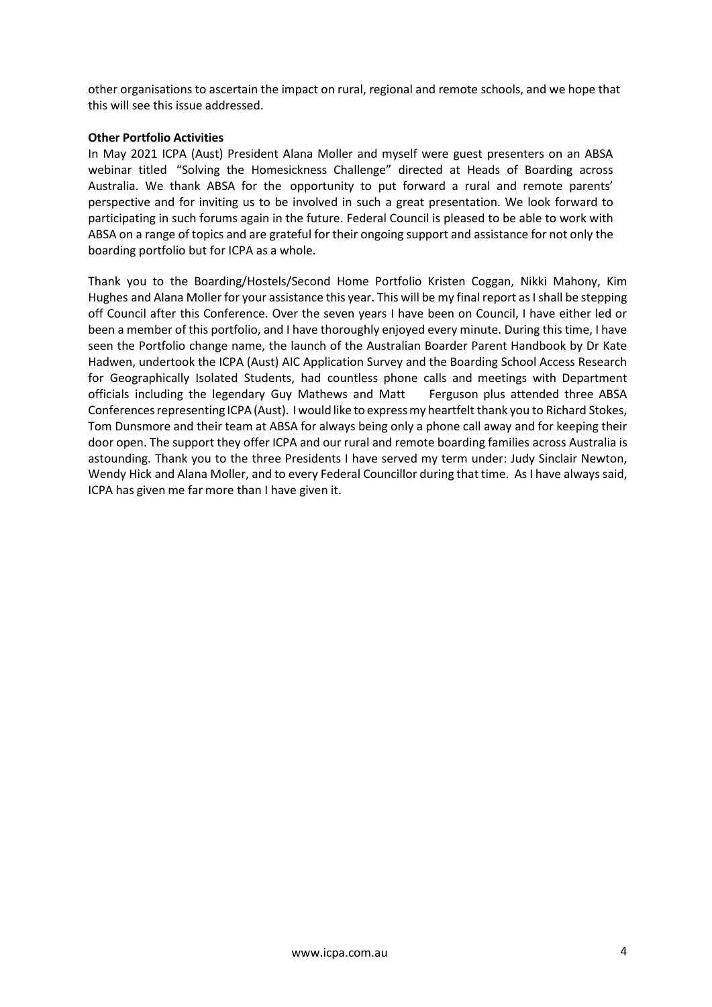other organisations to ascertain the impact on rural, regional and remote schools, and we hope that this will see this issue addressed.

### **Other Portfolio Activities**

In May 2021 ICPA (Aust) President Alana Moller and myself were guest presenters on an ABSA webinar titled "Solving the Homesickness Challenge" directed at Heads of Boarding across Australia. We thank ABSA for the opportunity to put forward a rural and remote parents' perspective and for inviting us to be involved in such a great presentation. We look forward to participating in such forums again in the future. Federal Council is pleased to be able to work with ABSA on a range of topics and are grateful for their ongoing support and assistance for not only the boarding portfolio but for ICPA as a whole.

Thank you to the Boarding/Hostels/Second Home Portfolio Kristen Coggan, Nikki Mahony, Kim Hughes and Alana Moller for your assistance this year. This will be my final report as I shall be stepping off Council after this Conference. Over the seven years I have been on Council, I have either led or been a member of this portfolio, and I have thoroughly enjoyed every minute. During this time, I have seen the Portfolio change name, the launch of the Australian Boarder Parent Handbook by Dr Kate Hadwen, undertook the ICPA (Aust) AIC Application Survey and the Boarding School Access Research for Geographically Isolated Students, had countless phone calls and meetings with Department officials including the legendary Guy Mathews and Matt Ferguson plus attended three ABSA Conferencesrepresenting ICPA(Aust). Iwould like to expressmy heartfelt thank you to Richard Stokes, Tom Dunsmore and their team at ABSA for always being only a phone call away and for keeping their door open. The support they offer ICPA and our rural and remote boarding families across Australia is astounding. Thank you to the three Presidents I have served my term under: Judy Sinclair Newton, Wendy Hick and Alana Moller, and to every Federal Councillor during that time. As I have always said, ICPA has given me far more than I have given it.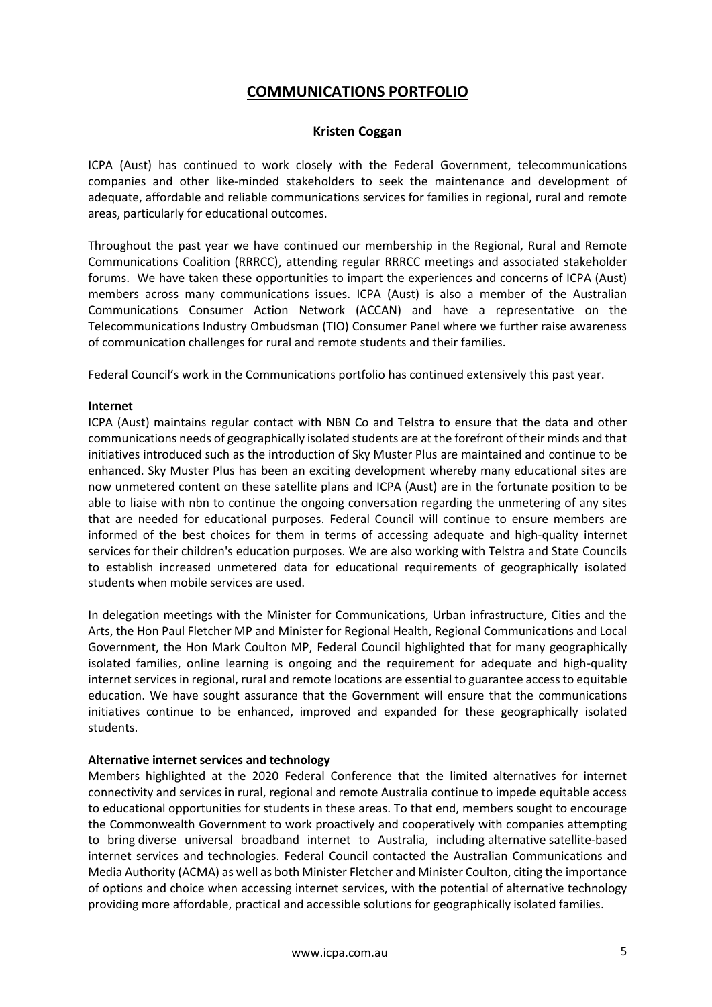# **COMMUNICATIONS PORTFOLIO**

### **Kristen Coggan**

ICPA (Aust) has continued to work closely with the Federal Government, telecommunications companies and other like-minded stakeholders to seek the maintenance and development of adequate, affordable and reliable communications services for families in regional, rural and remote areas, particularly for educational outcomes.

Throughout the past year we have continued our membership in the Regional, Rural and Remote Communications Coalition (RRRCC), attending regular RRRCC meetings and associated stakeholder forums. We have taken these opportunities to impart the experiences and concerns of ICPA (Aust) members across many communications issues. ICPA (Aust) is also a member of the Australian Communications Consumer Action Network (ACCAN) and have a representative on the Telecommunications Industry Ombudsman (TIO) Consumer Panel where we further raise awareness of communication challenges for rural and remote students and their families.

Federal Council's work in the Communications portfolio has continued extensively this past year.

### **Internet**

ICPA (Aust) maintains regular contact with NBN Co and Telstra to ensure that the data and other communications needs of geographically isolated students are at the forefront of their minds and that initiatives introduced such as the introduction of Sky Muster Plus are maintained and continue to be enhanced. Sky Muster Plus has been an exciting development whereby many educational sites are now unmetered content on these satellite plans and ICPA (Aust) are in the fortunate position to be able to liaise with nbn to continue the ongoing conversation regarding the unmetering of any sites that are needed for educational purposes. Federal Council will continue to ensure members are informed of the best choices for them in terms of accessing adequate and high-quality internet services for their children's education purposes. We are also working with Telstra and State Councils to establish increased unmetered data for educational requirements of geographically isolated students when mobile services are used.

In delegation meetings with the Minister for Communications, Urban infrastructure, Cities and the Arts, the Hon Paul Fletcher MP and Minister for Regional Health, Regional Communications and Local Government, the Hon Mark Coulton MP, Federal Council highlighted that for many geographically isolated families, online learning is ongoing and the requirement for adequate and high-quality internet services in regional, rural and remote locations are essential to guarantee access to equitable education. We have sought assurance that the Government will ensure that the communications initiatives continue to be enhanced, improved and expanded for these geographically isolated students.

### **Alternative internet services and technology**

Members highlighted at the 2020 Federal Conference that the limited alternatives for internet connectivity and services in rural, regional and remote Australia continue to impede equitable access to educational opportunities for students in these areas. To that end, members sought to encourage the Commonwealth Government to work proactively and cooperatively with companies attempting to bring diverse universal broadband internet to Australia, including alternative satellite-based internet services and technologies. Federal Council contacted the Australian Communications and Media Authority (ACMA) as well as both Minister Fletcher and Minister Coulton, citing the importance of options and choice when accessing internet services, with the potential of alternative technology providing more affordable, practical and accessible solutions for geographically isolated families.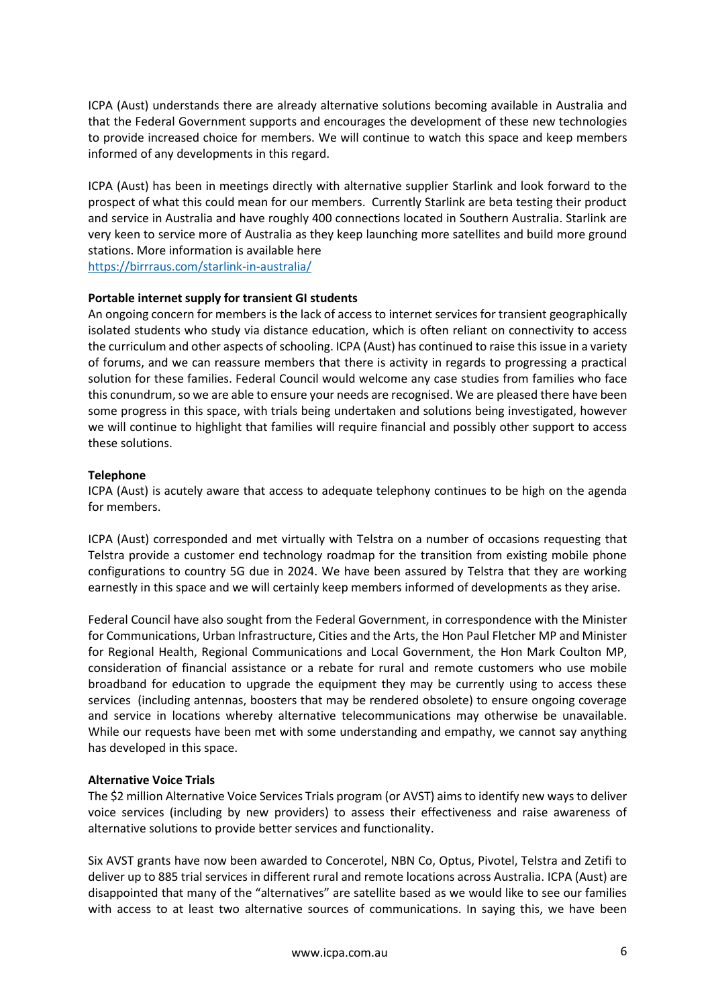ICPA (Aust) understands there are already alternative solutions becoming available in Australia and that the Federal Government supports and encourages the development of these new technologies to provide increased choice for members. We will continue to watch this space and keep members informed of any developments in this regard.

ICPA (Aust) has been in meetings directly with alternative supplier Starlink and look forward to the prospect of what this could mean for our members. Currently Starlink are beta testing their product and service in Australia and have roughly 400 connections located in Southern Australia. Starlink are very keen to service more of Australia as they keep launching more satellites and build more ground stations. More information is available here

<https://birrraus.com/starlink-in-australia/>

#### **Portable internet supply for transient GI students**

An ongoing concern for members is the lack of access to internet services for transient geographically isolated students who study via distance education, which is often reliant on connectivity to access the curriculum and other aspects of schooling. ICPA (Aust) has continued to raise this issue in a variety of forums, and we can reassure members that there is activity in regards to progressing a practical solution for these families. Federal Council would welcome any case studies from families who face this conundrum, so we are able to ensure your needs are recognised. We are pleased there have been some progress in this space, with trials being undertaken and solutions being investigated, however we will continue to highlight that families will require financial and possibly other support to access these solutions.

### **Telephone**

ICPA (Aust) is acutely aware that access to adequate telephony continues to be high on the agenda for members.

ICPA (Aust) corresponded and met virtually with Telstra on a number of occasions requesting that Telstra provide a customer end technology roadmap for the transition from existing mobile phone configurations to country 5G due in 2024. We have been assured by Telstra that they are working earnestly in this space and we will certainly keep members informed of developments as they arise.

Federal Council have also sought from the Federal Government, in correspondence with the Minister for Communications, Urban Infrastructure, Cities and the Arts, the Hon Paul Fletcher MP and Minister for Regional Health, Regional Communications and Local Government, the Hon Mark Coulton MP, consideration of financial assistance or a rebate for rural and remote customers who use mobile broadband for education to upgrade the equipment they may be currently using to access these services (including antennas, boosters that may be rendered obsolete) to ensure ongoing coverage and service in locations whereby alternative telecommunications may otherwise be unavailable. While our requests have been met with some understanding and empathy, we cannot say anything has developed in this space.

### **Alternative Voice Trials**

The \$2 million Alternative Voice Services Trials program (or AVST) aims to identify new ways to deliver voice services (including by new providers) to assess their effectiveness and raise awareness of alternative solutions to provide better services and functionality.

Six AVST grants have now been awarded to Concerotel, NBN Co, Optus, Pivotel, Telstra and Zetifi to deliver up to 885 trial services in different rural and remote locations across Australia. ICPA (Aust) are disappointed that many of the "alternatives" are satellite based as we would like to see our families with access to at least two alternative sources of communications. In saying this, we have been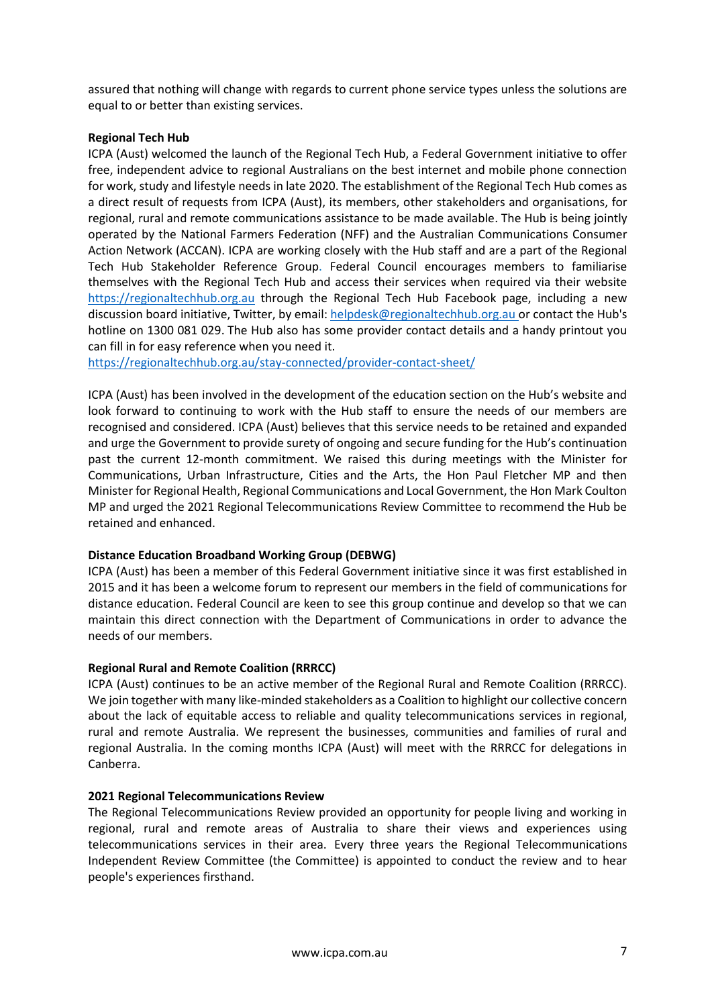assured that nothing will change with regards to current phone service types unless the solutions are equal to or better than existing services.

## **Regional Tech Hub**

ICPA (Aust) welcomed the launch of the Regional Tech Hub, a Federal Government initiative to offer free, independent advice to regional Australians on the best internet and mobile phone connection for work, study and lifestyle needs in late 2020. The establishment of the Regional Tech Hub comes as a direct result of requests from ICPA (Aust), its members, other stakeholders and organisations, for regional, rural and remote communications assistance to be made available. The Hub is being jointly operated by the National Farmers Federation (NFF) and the Australian Communications Consumer Action Network (ACCAN). ICPA are working closely with the Hub staff and are a part of the Regional Tech Hub Stakeholder Reference Group. Federal Council encourages members to familiarise themselves with the Regional Tech Hub and access their services when required via their website [https://regionaltechhub.org.au](https://regionaltechhub.org.au/) through the Regional Tech Hub Facebook page, including a new discussion board initiative, Twitter, by email: [helpdesk@regionaltechhub.org.au](mailto:helpdesk@regionaltechhub.org.au) or contact the Hub's hotline on 1300 081 029. The Hub also has some provider contact details and a handy printout you can fill in for easy reference when you need it.

<https://regionaltechhub.org.au/stay-connected/provider-contact-sheet/>

ICPA (Aust) has been involved in the development of the education section on the Hub's website and look forward to continuing to work with the Hub staff to ensure the needs of our members are recognised and considered. ICPA (Aust) believes that this service needs to be retained and expanded and urge the Government to provide surety of ongoing and secure funding for the Hub's continuation past the current 12-month commitment. We raised this during meetings with the Minister for Communications, Urban Infrastructure, Cities and the Arts, the Hon Paul Fletcher MP and then Minister for Regional Health, Regional Communications and Local Government, the Hon Mark Coulton MP and urged the 2021 Regional Telecommunications Review Committee to recommend the Hub be retained and enhanced.

### **Distance Education Broadband Working Group (DEBWG)**

ICPA (Aust) has been a member of this Federal Government initiative since it was first established in 2015 and it has been a welcome forum to represent our members in the field of communications for distance education. Federal Council are keen to see this group continue and develop so that we can maintain this direct connection with the Department of Communications in order to advance the needs of our members.

### **Regional Rural and Remote Coalition (RRRCC)**

ICPA (Aust) continues to be an active member of the Regional Rural and Remote Coalition (RRRCC). We join together with many like-minded stakeholders as a Coalition to highlight our collective concern about the lack of equitable access to reliable and quality telecommunications services in regional, rural and remote Australia. We represent the businesses, communities and families of rural and regional Australia. In the coming months ICPA (Aust) will meet with the RRRCC for delegations in Canberra.

### **2021 Regional Telecommunications Review**

The Regional Telecommunications Review provided an opportunity for people living and working in regional, rural and remote areas of Australia to share their views and experiences using telecommunications services in their area. Every three years the Regional Telecommunications Independent Review Committee (the Committee) is appointed to conduct the review and to hear people's experiences firsthand.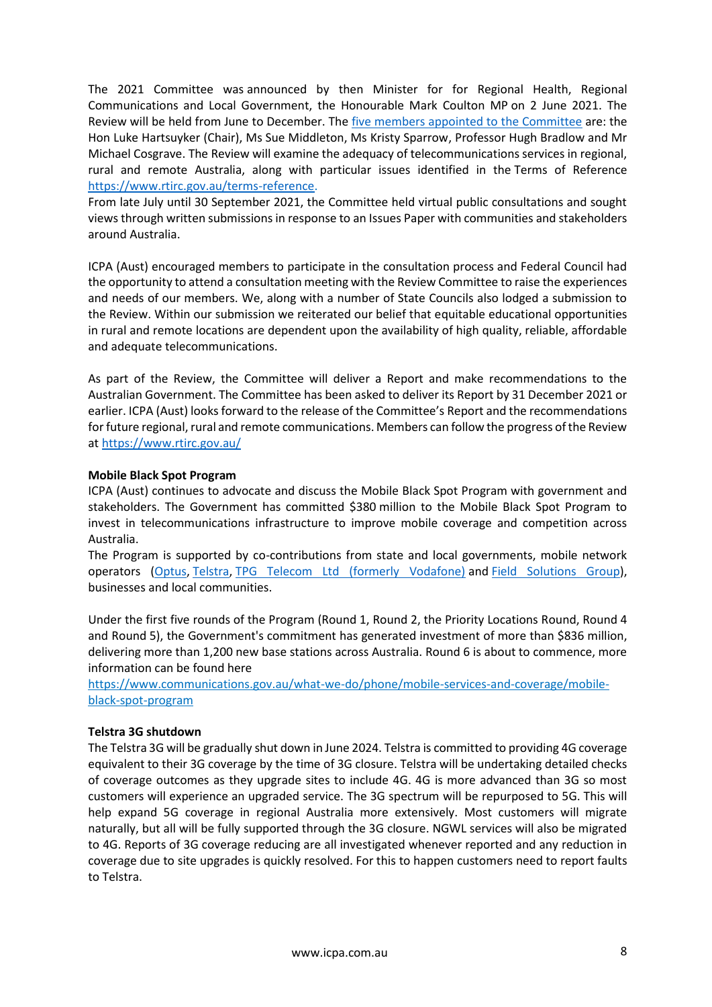The 2021 Committee was [announced by then Minister for for Regional Health, Regional](https://minister.infrastructure.gov.au/coulton/media-release/regional-telecommunications-review-committee-announced)  [Communications and Local Government, the Honourable Mark Coulton MP](https://minister.infrastructure.gov.au/coulton/media-release/regional-telecommunications-review-committee-announced) on 2 June 2021. The Review will be held from June to December. The [five members appointed to the Committee](https://www.rtirc.gov.au/committee-members-profiles) are: the Hon Luke Hartsuyker (Chair), Ms Sue Middleton, Ms Kristy Sparrow, Professor Hugh Bradlow and Mr Michael Cosgrave. The Review will examine the adequacy of telecommunications services in regional, rural and remote Australia, along with particular issues identified in the [Terms of Reference](https://www.rtirc.gov.au/terms-reference) [https://www.rtirc.gov.au/terms-reference.](https://www.rtirc.gov.au/terms-reference)

From late July until 30 September 2021, the Committee held virtual public consultations and sought views through written submissions in response to an Issues Paper with communities and stakeholders around Australia.

ICPA (Aust) encouraged members to participate in the consultation process and Federal Council had the opportunity to attend a consultation meeting with the Review Committee to raise the experiences and needs of our members. We, along with a number of State Councils also lodged a submission to the Review. Within our submission we reiterated our belief that equitable educational opportunities in rural and remote locations are dependent upon the availability of high quality, reliable, affordable and adequate telecommunications.

As part of the Review, the Committee will deliver a Report and make recommendations to the Australian Government. The Committee has been asked to deliver its Report by 31 December 2021 or earlier. ICPA (Aust) looks forward to the release of the Committee's Report and the recommendations for future regional, rural and remote communications. Members can follow the progress of the Review at<https://www.rtirc.gov.au/>

### **Mobile Black Spot Program**

ICPA (Aust) continues to advocate and discuss the Mobile Black Spot Program with government and stakeholders. The Government has committed \$380 million to the Mobile Black Spot Program to invest in telecommunications infrastructure to improve mobile coverage and competition across Australia.

The Program is supported by co-contributions from state and local governments, mobile network operators [\(Optus,](https://www.optus.com.au/about/network/mobile-black-spot-program) [Telstra,](https://www.telstra.com.au/coverage-networks/mobile-black-spot-program) [TPG Telecom Ltd \(formerly Vodafone\)](https://www.vodafone.com.au/red-wire/vodafone-mobile-black-spot-investment) and [Field Solutions Group\)](https://fieldsolutions-group.com/), businesses and local communities.

Under the first five rounds of the Program (Round 1, Round 2, the Priority Locations Round, Round 4 and Round 5), the Government's commitment has generated investment of more than \$836 million, delivering more than 1,200 new base stations across Australia. Round 6 is about to commence, more information can be found here

[https://www.communications.gov.au/what-we-do/phone/mobile-services-and-coverage/mobile](https://www.communications.gov.au/what-we-do/phone/mobile-services-and-coverage/mobile-black-spot-program)[black-spot-program](https://www.communications.gov.au/what-we-do/phone/mobile-services-and-coverage/mobile-black-spot-program)

### **Telstra 3G shutdown**

The Telstra 3G will be gradually shut down in June 2024. Telstra is committed to providing 4G coverage equivalent to their 3G coverage by the time of 3G closure. Telstra will be undertaking detailed checks of coverage outcomes as they upgrade sites to include 4G. 4G is more advanced than 3G so most customers will experience an upgraded service. The 3G spectrum will be repurposed to 5G. This will help expand 5G coverage in regional Australia more extensively. Most customers will migrate naturally, but all will be fully supported through the 3G closure. NGWL services will also be migrated to 4G. Reports of 3G coverage reducing are all investigated whenever reported and any reduction in coverage due to site upgrades is quickly resolved. For this to happen customers need to report faults to Telstra.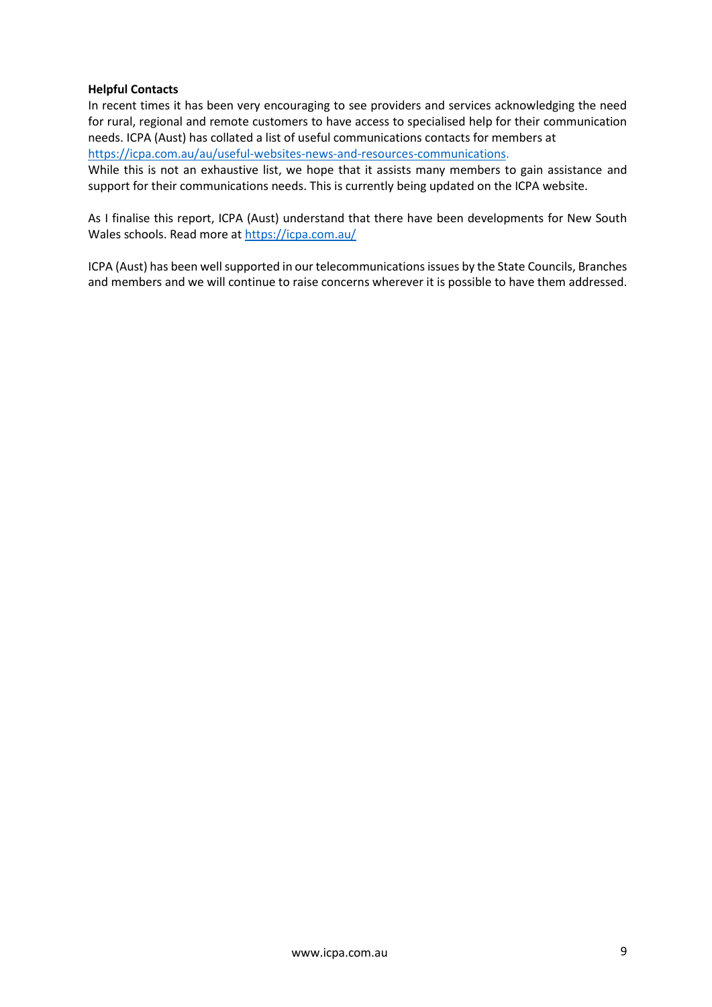### **Helpful Contacts**

In recent times it has been very encouraging to see providers and services acknowledging the need for rural, regional and remote customers to have access to specialised help for their communication needs. ICPA (Aust) has collated a list of useful communications contacts for members at [https://icpa.com.au/au/useful-websites-news-and-resources-communications.](https://icpa.com.au/au/useful-websites-news-and-resources-communications)

While this is not an exhaustive list, we hope that it assists many members to gain assistance and support for their communications needs. This is currently being updated on the ICPA website.

As I finalise this report, ICPA (Aust) understand that there have been developments for New South Wales schools. Read more at<https://icpa.com.au/>

ICPA (Aust) has been well supported in our telecommunications issues by the State Councils, Branches and members and we will continue to raise concerns wherever it is possible to have them addressed.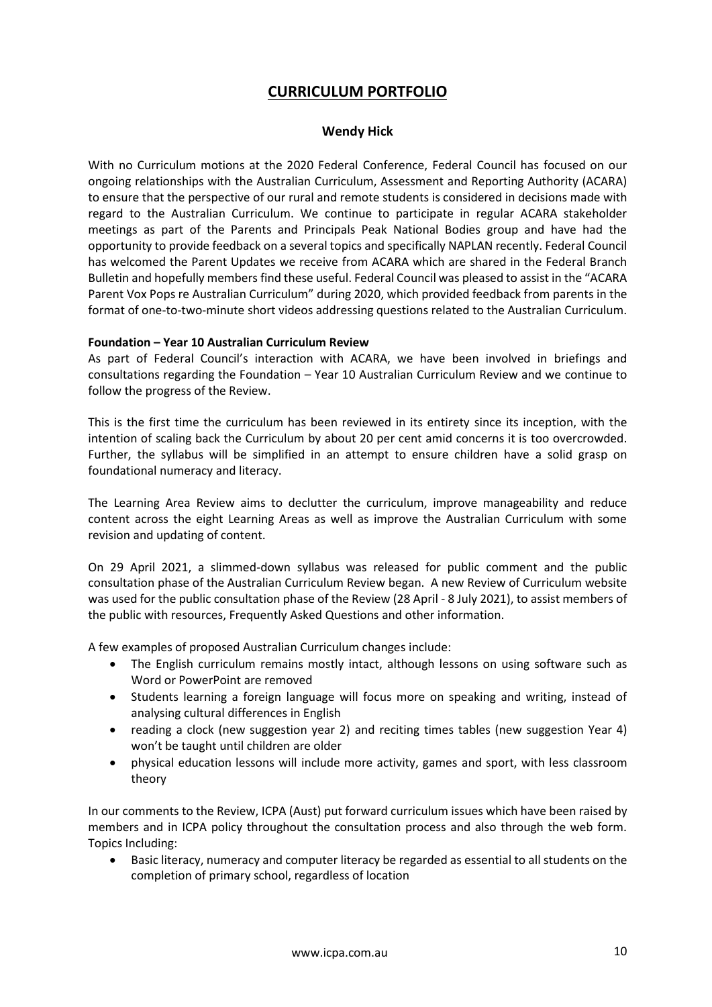# **CURRICULUM PORTFOLIO**

## **Wendy Hick**

With no Curriculum motions at the 2020 Federal Conference, Federal Council has focused on our ongoing relationships with the Australian Curriculum, Assessment and Reporting Authority (ACARA) to ensure that the perspective of our rural and remote students is considered in decisions made with regard to the Australian Curriculum. We continue to participate in regular ACARA stakeholder meetings as part of the Parents and Principals Peak National Bodies group and have had the opportunity to provide feedback on a several topics and specifically NAPLAN recently. Federal Council has welcomed the Parent Updates we receive from ACARA which are shared in the Federal Branch Bulletin and hopefully members find these useful. Federal Council was pleased to assist in the "ACARA Parent Vox Pops re Australian Curriculum" during 2020, which provided feedback from parents in the format of one-to-two-minute short videos addressing questions related to the Australian Curriculum.

#### **Foundation – Year 10 Australian Curriculum Review**

As part of Federal Council's interaction with ACARA, we have been involved in briefings and consultations regarding the Foundation – Year 10 Australian Curriculum Review and we continue to follow the progress of the Review.

This is the first time the curriculum has been reviewed in its entirety since its inception, with the intention of scaling back the Curriculum by about 20 per cent amid concerns it is too overcrowded. Further, the syllabus will be simplified in an attempt to ensure children have a solid grasp on foundational numeracy and literacy.

The Learning Area Review aims to declutter the curriculum, improve manageability and reduce content across the eight Learning Areas as well as improve the Australian Curriculum with some revision and updating of content.

On 29 April 2021, a slimmed-down syllabus was released for public comment and the public consultation phase of the Australian Curriculum Review began. A new Review of Curriculum website was used for the public consultation phase of the Review (28 April - 8 July 2021), to assist members of the public with resources, Frequently Asked Questions and other information.

A few examples of proposed Australian Curriculum changes include:

- The English curriculum remains mostly intact, although lessons on using software such as Word or PowerPoint are removed
- Students learning a foreign language will focus more on speaking and writing, instead of analysing cultural differences in English
- reading a clock (new suggestion year 2) and reciting times tables (new suggestion Year 4) won't be taught until children are older
- physical education lessons will include more activity, games and sport, with less classroom theory

In our comments to the Review, ICPA (Aust) put forward curriculum issues which have been raised by members and in ICPA policy throughout the consultation process and also through the web form. Topics Including:

• Basic literacy, numeracy and computer literacy be regarded as essential to all students on the completion of primary school, regardless of location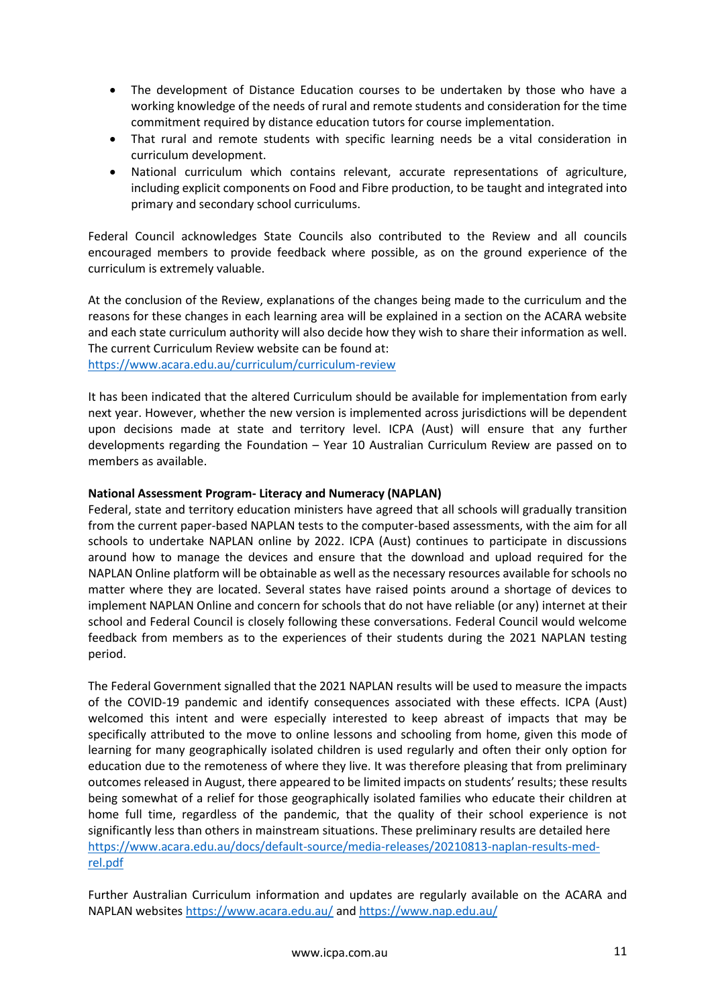- The development of Distance Education courses to be undertaken by those who have a working knowledge of the needs of rural and remote students and consideration for the time commitment required by distance education tutors for course implementation.
- That rural and remote students with specific learning needs be a vital consideration in curriculum development.
- National curriculum which contains relevant, accurate representations of agriculture, including explicit components on Food and Fibre production, to be taught and integrated into primary and secondary school curriculums.

Federal Council acknowledges State Councils also contributed to the Review and all councils encouraged members to provide feedback where possible, as on the ground experience of the curriculum is extremely valuable.

At the conclusion of the Review, explanations of the changes being made to the curriculum and the reasons for these changes in each learning area will be explained in a section on the ACARA website and each state curriculum authority will also decide how they wish to share their information as well. The current Curriculum Review website can be found at:

<https://www.acara.edu.au/curriculum/curriculum-review>

It has been indicated that the altered Curriculum should be available for implementation from early next year. However, whether the new version is implemented across jurisdictions will be dependent upon decisions made at state and territory level. ICPA (Aust) will ensure that any further developments regarding the Foundation – Year 10 Australian Curriculum Review are passed on to members as available.

## **National Assessment Program- Literacy and Numeracy (NAPLAN)**

Federal, state and territory education ministers have agreed that all schools will gradually transition from the current paper-based NAPLAN tests to the computer-based assessments, with the aim for all schools to undertake NAPLAN online by 2022. ICPA (Aust) continues to participate in discussions around how to manage the devices and ensure that the download and upload required for the NAPLAN Online platform will be obtainable as well as the necessary resources available for schools no matter where they are located. Several states have raised points around a shortage of devices to implement NAPLAN Online and concern for schools that do not have reliable (or any) internet at their school and Federal Council is closely following these conversations. Federal Council would welcome feedback from members as to the experiences of their students during the 2021 NAPLAN testing period.

The Federal Government signalled that the 2021 NAPLAN results will be used to measure the impacts of the COVID-19 pandemic and identify consequences associated with these effects. ICPA (Aust) welcomed this intent and were especially interested to keep abreast of impacts that may be specifically attributed to the move to online lessons and schooling from home, given this mode of learning for many geographically isolated children is used regularly and often their only option for education due to the remoteness of where they live. It was therefore pleasing that from preliminary outcomes released in August, there appeared to be limited impacts on students' results; these results being somewhat of a relief for those geographically isolated families who educate their children at home full time, regardless of the pandemic, that the quality of their school experience is not significantly less than others in mainstream situations. These preliminary results are detailed here [https://www.acara.edu.au/docs/default-source/media-releases/20210813-naplan-results-med](https://www.acara.edu.au/docs/default-source/media-releases/20210813-naplan-results-med-rel.pdf)[rel.pdf](https://www.acara.edu.au/docs/default-source/media-releases/20210813-naplan-results-med-rel.pdf)

Further Australian Curriculum information and updates are regularly available on the ACARA and NAPLAN websites<https://www.acara.edu.au/> an[d https://www.nap.edu.au/](https://www.nap.edu.au/)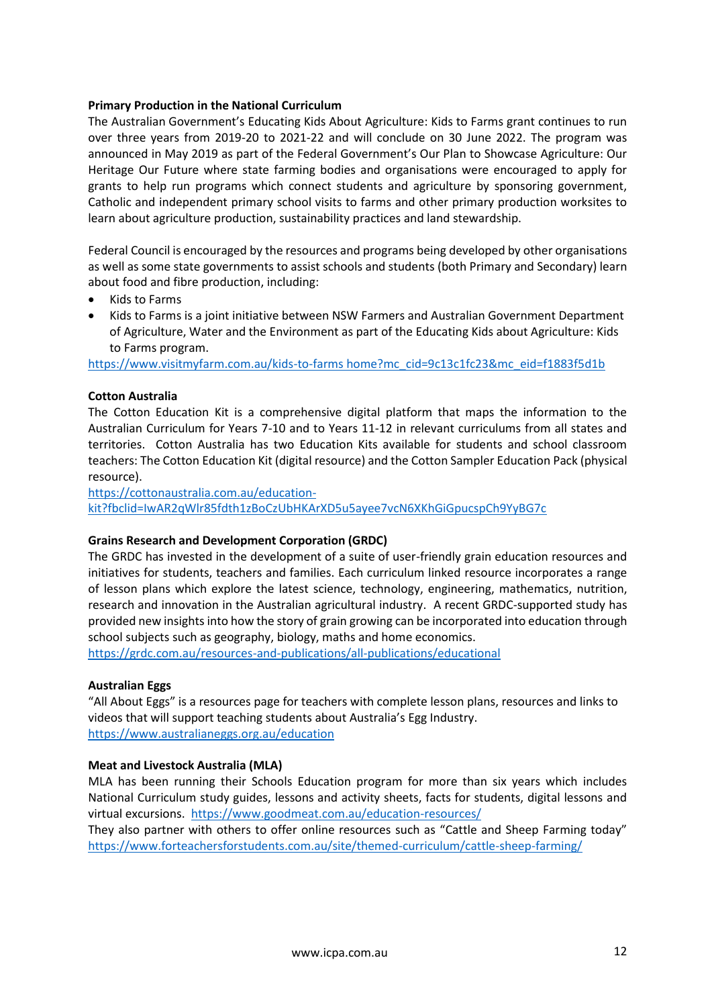### **Primary Production in the National Curriculum**

The Australian Government's Educating Kids About Agriculture: Kids to Farms grant continues to run over three years from 2019-20 to 2021-22 and will conclude on 30 June 2022. The program was announced in May 2019 as part of the Federal Government's Our Plan to Showcase Agriculture: Our Heritage Our Future where state farming bodies and organisations were encouraged to apply for grants to help run programs which connect students and agriculture by sponsoring government, Catholic and independent primary school visits to farms and other primary production worksites to learn about agriculture production, sustainability practices and land stewardship.

Federal Council is encouraged by the resources and programs being developed by other organisations as well as some state governments to assist schools and students (both Primary and Secondary) learn about food and fibre production, including:

- Kids to Farms
- Kids to Farms is a joint initiative between NSW Farmers and Australian Government Department of Agriculture, Water and the Environment as part of the Educating Kids about Agriculture: Kids to Farms program.

[https://www.visitmyfarm.com.au/kids-to-farms home?mc\\_cid=9c13c1fc23&mc\\_eid=f1883f5d1b](https://www.visitmyfarm.com.au/kids-to-farms%20home?mc_cid=9c13c1fc23&mc_eid=f1883f5d1b)

## **Cotton Australia**

The Cotton Education Kit is a comprehensive digital platform that maps the information to the Australian Curriculum for Years 7-10 and to Years 11-12 in relevant curriculums from all states and territories. Cotton Australia has two Education Kits available for students and school classroom teachers: The Cotton Education Kit (digital resource) and the Cotton Sampler Education Pack (physical resource).

[https://cottonaustralia.com.au/education](https://cottonaustralia.com.au/education-kit?fbclid=IwAR2qWlr85fdth1zBoCzUbHKArXD5u5ayee7vcN6XKhGiGpucspCh9YyBG7c)[kit?fbclid=IwAR2qWlr85fdth1zBoCzUbHKArXD5u5ayee7vcN6XKhGiGpucspCh9YyBG7c](https://cottonaustralia.com.au/education-kit?fbclid=IwAR2qWlr85fdth1zBoCzUbHKArXD5u5ayee7vcN6XKhGiGpucspCh9YyBG7c)

### **Grains Research and Development Corporation (GRDC)**

The GRDC has invested in the development of a suite of user-friendly grain education resources and initiatives for students, teachers and families. Each curriculum linked resource incorporates a range of lesson plans which explore the latest science, technology, engineering, mathematics, nutrition, research and innovation in the Australian agricultural industry. A recent GRDC-supported study has provided new insights into how the story of grain growing can be incorporated into education through school subjects such as geography, biology, maths and home economics.

<https://grdc.com.au/resources-and-publications/all-publications/educational>

### **Australian Eggs**

"All About Eggs" is a resources page for teachers with complete lesson plans, resources and links to videos that will support teaching students about Australia's Egg Industry. <https://www.australianeggs.org.au/education>

## **Meat and Livestock Australia (MLA)**

MLA has been running their Schools Education program for more than six years which includes National Curriculum study guides, lessons and activity sheets, facts for students, digital lessons and virtual excursions.<https://www.goodmeat.com.au/education-resources/>

They also partner with others to offer online resources such as "Cattle and Sheep Farming today" <https://www.forteachersforstudents.com.au/site/themed-curriculum/cattle-sheep-farming/>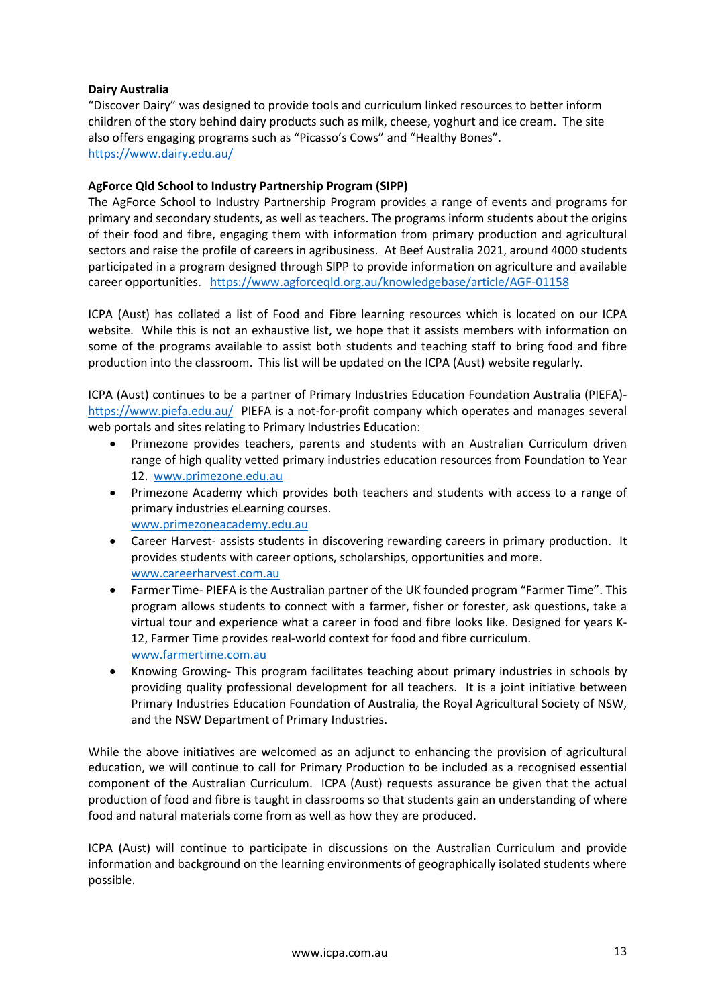### **Dairy Australia**

"Discover Dairy" was designed to provide tools and curriculum linked resources to better inform children of the story behind dairy products such as milk, cheese, yoghurt and ice cream. The site also offers engaging programs such as "Picasso's Cows" and "Healthy Bones". <https://www.dairy.edu.au/>

## **AgForce Qld School to Industry Partnership Program (SIPP)**

The AgForce School to Industry Partnership Program provides a range of events and programs for primary and secondary students, as well as teachers. The programs inform students about the origins of their food and fibre, engaging them with information from primary production and agricultural sectors and raise the profile of careers in agribusiness. At Beef Australia 2021, around 4000 students participated in a program designed through SIPP to provide information on agriculture and available career opportunities. <https://www.agforceqld.org.au/knowledgebase/article/AGF-01158>

ICPA (Aust) has collated a list of Food and Fibre learning resources which is located on our ICPA website. While this is not an exhaustive list, we hope that it assists members with information on some of the programs available to assist both students and teaching staff to bring food and fibre production into the classroom. This list will be updated on the ICPA (Aust) website regularly.

ICPA (Aust) continues to be a partner of Primary Industries Education Foundation Australia (PIEFA) <https://www.piefa.edu.au/>PIEFA is a not-for-profit company which operates and manages several web portals and sites relating to Primary Industries Education:

- Primezone provides teachers, parents and students with an Australian Curriculum driven range of high quality vetted primary industries education resources from Foundation to Year 12. [www.primezone.edu.au](http://www.primezone.edu.au/)
- Primezone Academy which provides both teachers and students with access to a range of primary industries eLearning courses. [www.primezoneacademy.edu.au](http://www.primezoneacademy.edu.au/)
- Career Harvest- assists students in discovering rewarding careers in primary production. It provides students with career options, scholarships, opportunities and more. [www.careerharvest.com.au](http://www.careerharvest.com.au/)
- Farmer Time- PIEFA is the Australian partner of the UK founded program "Farmer Time". This program allows students to connect with a farmer, fisher or forester, ask questions, take a virtual tour and experience what a career in food and fibre looks like. Designed for years K-12, Farmer Time provides real-world context for food and fibre curriculum. [www.farmertime.com.au](http://www.farmertime.com.au/)
- Knowing Growing- This program facilitates teaching about primary industries in schools by providing quality professional development for all teachers. It is a joint initiative between Primary Industries Education Foundation of Australia, the Royal Agricultural Society of NSW, and the NSW Department of Primary Industries.

While the above initiatives are welcomed as an adjunct to enhancing the provision of agricultural education, we will continue to call for Primary Production to be included as a recognised essential component of the Australian Curriculum. ICPA (Aust) requests assurance be given that the actual production of food and fibre is taught in classrooms so that students gain an understanding of where food and natural materials come from as well as how they are produced.

ICPA (Aust) will continue to participate in discussions on the Australian Curriculum and provide information and background on the learning environments of geographically isolated students where possible.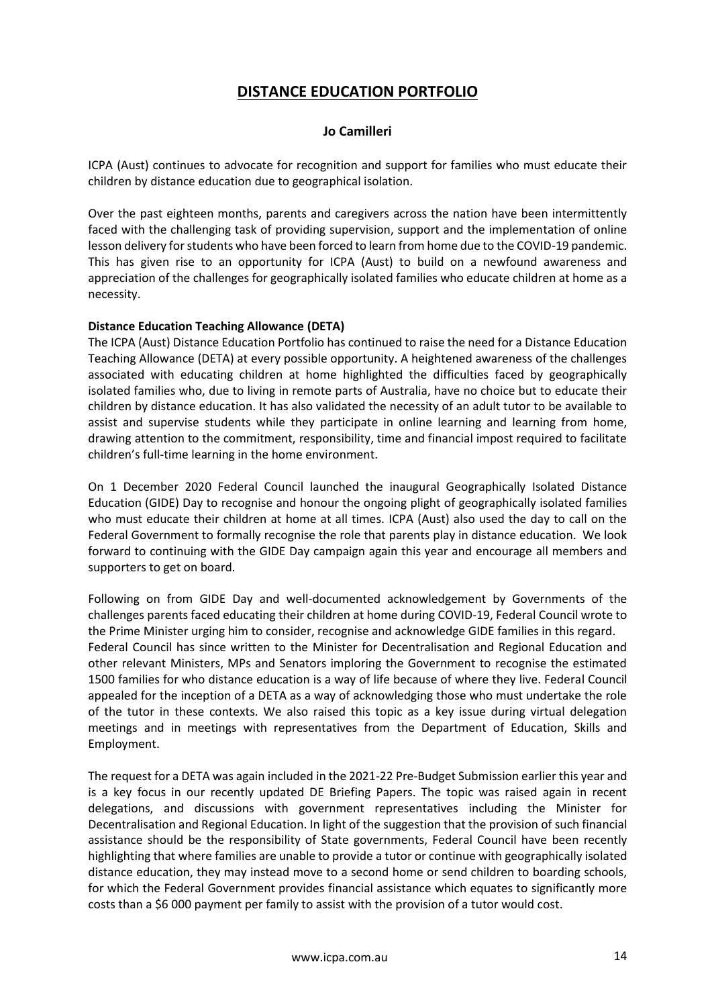# **DISTANCE EDUCATION PORTFOLIO**

## **Jo Camilleri**

ICPA (Aust) continues to advocate for recognition and support for families who must educate their children by distance education due to geographical isolation.

Over the past eighteen months, parents and caregivers across the nation have been intermittently faced with the challenging task of providing supervision, support and the implementation of online lesson delivery for students who have been forced to learn from home due to the COVID-19 pandemic. This has given rise to an opportunity for ICPA (Aust) to build on a newfound awareness and appreciation of the challenges for geographically isolated families who educate children at home as a necessity.

### **Distance Education Teaching Allowance (DETA)**

The ICPA (Aust) Distance Education Portfolio has continued to raise the need for a Distance Education Teaching Allowance (DETA) at every possible opportunity. A heightened awareness of the challenges associated with educating children at home highlighted the difficulties faced by geographically isolated families who, due to living in remote parts of Australia, have no choice but to educate their children by distance education. It has also validated the necessity of an adult tutor to be available to assist and supervise students while they participate in online learning and learning from home, drawing attention to the commitment, responsibility, time and financial impost required to facilitate children's full-time learning in the home environment.

On 1 December 2020 Federal Council launched the inaugural Geographically Isolated Distance Education (GIDE) Day to recognise and honour the ongoing plight of geographically isolated families who must educate their children at home at all times. ICPA (Aust) also used the day to call on the Federal Government to formally recognise the role that parents play in distance education. We look forward to continuing with the GIDE Day campaign again this year and encourage all members and supporters to get on board.

Following on from GIDE Day and well-documented acknowledgement by Governments of the challenges parents faced educating their children at home during COVID-19, Federal Council wrote to the Prime Minister urging him to consider, recognise and acknowledge GIDE families in this regard. Federal Council has since written to the Minister for Decentralisation and Regional Education and other relevant Ministers, MPs and Senators imploring the Government to recognise the estimated 1500 families for who distance education is a way of life because of where they live. Federal Council appealed for the inception of a DETA as a way of acknowledging those who must undertake the role of the tutor in these contexts. We also raised this topic as a key issue during virtual delegation meetings and in meetings with representatives from the Department of Education, Skills and Employment.

The request for a DETA was again included in the 2021-22 Pre-Budget Submission earlier this year and is a key focus in our recently updated DE Briefing Papers. The topic was raised again in recent delegations, and discussions with government representatives including the Minister for Decentralisation and Regional Education. In light of the suggestion that the provision of such financial assistance should be the responsibility of State governments, Federal Council have been recently highlighting that where families are unable to provide a tutor or continue with geographically isolated distance education, they may instead move to a second home or send children to boarding schools, for which the Federal Government provides financial assistance which equates to significantly more costs than a \$6 000 payment per family to assist with the provision of a tutor would cost.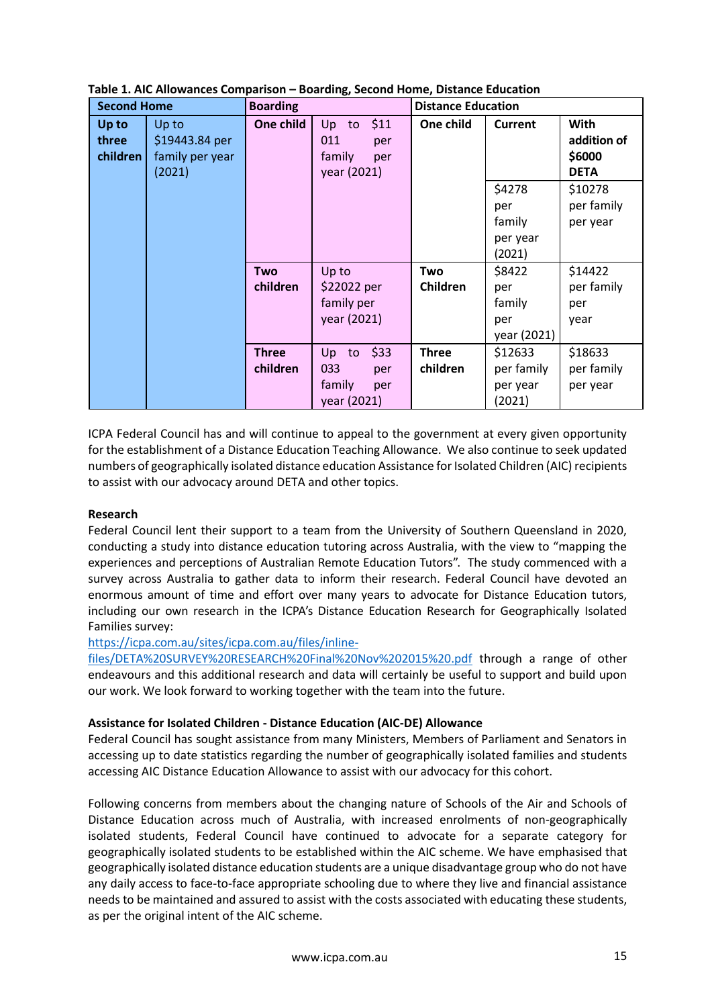| <b>Second Home</b>         |                                                      | <b>Boarding</b>          |                                                                | <b>Distance Education</b> |                                               |                                              |
|----------------------------|------------------------------------------------------|--------------------------|----------------------------------------------------------------|---------------------------|-----------------------------------------------|----------------------------------------------|
| Up to<br>three<br>children | Up to<br>\$19443.84 per<br>family per year<br>(2021) | One child                | \$11<br>Up<br>to<br>011<br>per<br>family<br>per<br>year (2021) | One child                 | <b>Current</b>                                | With<br>addition of<br>\$6000<br><b>DETA</b> |
|                            |                                                      |                          |                                                                |                           | \$4278<br>per<br>family<br>per year<br>(2021) | \$10278<br>per family<br>per year            |
|                            |                                                      | <b>Two</b><br>children   | Up to<br>\$22022 per<br>family per<br>year (2021)              | Two<br><b>Children</b>    | \$8422<br>per<br>family<br>per<br>year (2021) | \$14422<br>per family<br>per<br>year         |
|                            |                                                      | <b>Three</b><br>children | \$33<br>Up to<br>033<br>per<br>family<br>per<br>year (2021)    | <b>Three</b><br>children  | \$12633<br>per family<br>per year<br>(2021)   | \$18633<br>per family<br>per year            |

**Table 1. AIC Allowances Comparison – Boarding, Second Home, Distance Education**

ICPA Federal Council has and will continue to appeal to the government at every given opportunity for the establishment of a Distance Education Teaching Allowance. We also continue to seek updated numbers of geographically isolated distance education Assistance for Isolated Children (AIC) recipients to assist with our advocacy around DETA and other topics.

### **Research**

Federal Council lent their support to a team from the University of Southern Queensland in 2020, conducting a study into distance education tutoring across Australia, with the view to "mapping the experiences and perceptions of Australian Remote Education Tutors". The study commenced with a survey across Australia to gather data to inform their research. Federal Council have devoted an enormous amount of time and effort over many years to advocate for Distance Education tutors, including our own research in the ICPA's Distance Education Research for Geographically Isolated Families survey:

### [https://icpa.com.au/sites/icpa.com.au/files/inline-](https://icpa.com.au/sites/icpa.com.au/files/inline-files/DETA%20SURVEY%20RESEARCH%20Final%20Nov%202015%20.pdf)

[files/DETA%20SURVEY%20RESEARCH%20Final%20Nov%202015%20.pdf](https://icpa.com.au/sites/icpa.com.au/files/inline-files/DETA%20SURVEY%20RESEARCH%20Final%20Nov%202015%20.pdf) through a range of other endeavours and this additional research and data will certainly be useful to support and build upon our work. We look forward to working together with the team into the future.

### **Assistance for Isolated Children - Distance Education (AIC-DE) Allowance**

Federal Council has sought assistance from many Ministers, Members of Parliament and Senators in accessing up to date statistics regarding the number of geographically isolated families and students accessing AIC Distance Education Allowance to assist with our advocacy for this cohort.

Following concerns from members about the changing nature of Schools of the Air and Schools of Distance Education across much of Australia, with increased enrolments of non-geographically isolated students, Federal Council have continued to advocate for a separate category for geographically isolated students to be established within the AIC scheme. We have emphasised that geographically isolated distance education students are a unique disadvantage group who do not have any daily access to face-to-face appropriate schooling due to where they live and financial assistance needs to be maintained and assured to assist with the costs associated with educating these students, as per the original intent of the AIC scheme.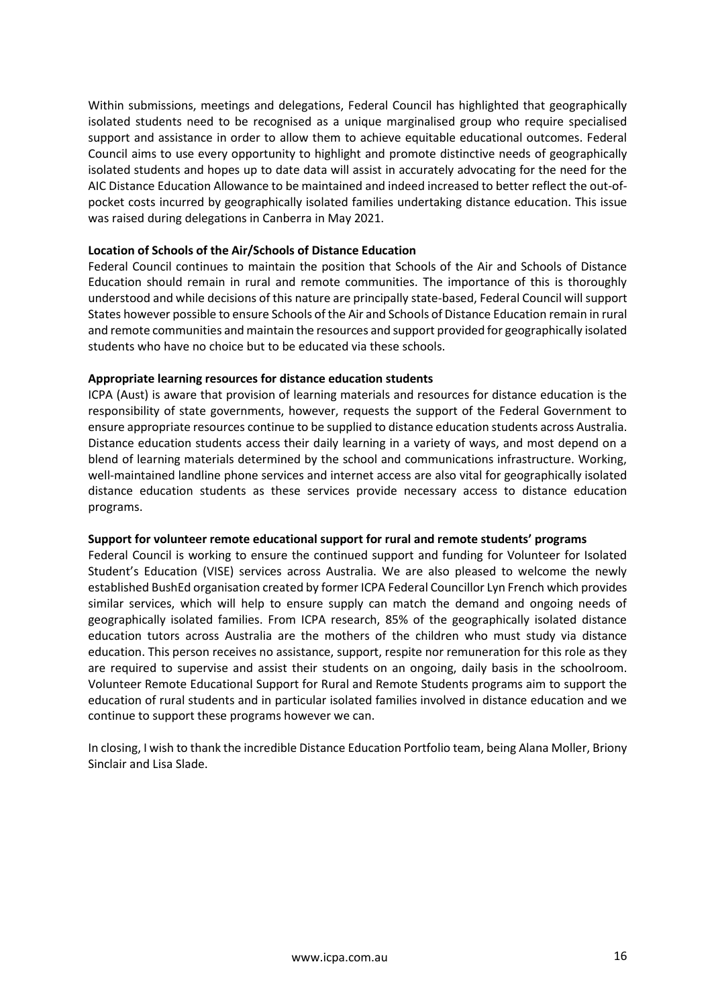Within submissions, meetings and delegations, Federal Council has highlighted that geographically isolated students need to be recognised as a unique marginalised group who require specialised support and assistance in order to allow them to achieve equitable educational outcomes. Federal Council aims to use every opportunity to highlight and promote distinctive needs of geographically isolated students and hopes up to date data will assist in accurately advocating for the need for the AIC Distance Education Allowance to be maintained and indeed increased to better reflect the out-ofpocket costs incurred by geographically isolated families undertaking distance education. This issue was raised during delegations in Canberra in May 2021.

#### **Location of Schools of the Air/Schools of Distance Education**

Federal Council continues to maintain the position that Schools of the Air and Schools of Distance Education should remain in rural and remote communities. The importance of this is thoroughly understood and while decisions of this nature are principally state-based, Federal Council will support States however possible to ensure Schools of the Air and Schools of Distance Education remain in rural and remote communities and maintain the resources and support provided for geographically isolated students who have no choice but to be educated via these schools.

#### **Appropriate learning resources for distance education students**

ICPA (Aust) is aware that provision of learning materials and resources for distance education is the responsibility of state governments, however, requests the support of the Federal Government to ensure appropriate resources continue to be supplied to distance education students across Australia. Distance education students access their daily learning in a variety of ways, and most depend on a blend of learning materials determined by the school and communications infrastructure. Working, well-maintained landline phone services and internet access are also vital for geographically isolated distance education students as these services provide necessary access to distance education programs.

#### **Support for volunteer remote educational support for rural and remote students' programs**

Federal Council is working to ensure the continued support and funding for Volunteer for Isolated Student's Education (VISE) services across Australia. We are also pleased to welcome the newly established BushEd organisation created by former ICPA Federal Councillor Lyn French which provides similar services, which will help to ensure supply can match the demand and ongoing needs of geographically isolated families. From ICPA research, 85% of the geographically isolated distance education tutors across Australia are the mothers of the children who must study via distance education. This person receives no assistance, support, respite nor remuneration for this role as they are required to supervise and assist their students on an ongoing, daily basis in the schoolroom. Volunteer Remote Educational Support for Rural and Remote Students programs aim to support the education of rural students and in particular isolated families involved in distance education and we continue to support these programs however we can.

In closing, I wish to thank the incredible Distance Education Portfolio team, being Alana Moller, Briony Sinclair and Lisa Slade.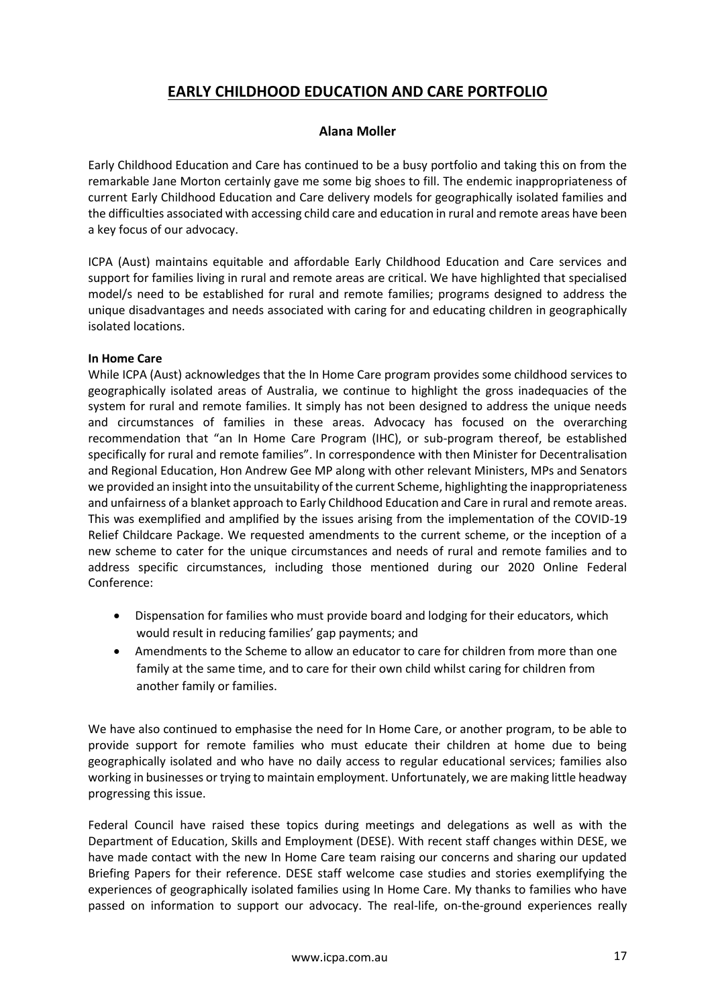# **EARLY CHILDHOOD EDUCATION AND CARE PORTFOLIO**

## **Alana Moller**

Early Childhood Education and Care has continued to be a busy portfolio and taking this on from the remarkable Jane Morton certainly gave me some big shoes to fill. The endemic inappropriateness of current Early Childhood Education and Care delivery models for geographically isolated families and the difficulties associated with accessing child care and education in rural and remote areas have been a key focus of our advocacy.

ICPA (Aust) maintains equitable and affordable Early Childhood Education and Care services and support for families living in rural and remote areas are critical. We have highlighted that specialised model/s need to be established for rural and remote families; programs designed to address the unique disadvantages and needs associated with caring for and educating children in geographically isolated locations.

### **In Home Care**

While ICPA (Aust) acknowledges that the In Home Care program provides some childhood services to geographically isolated areas of Australia, we continue to highlight the gross inadequacies of the system for rural and remote families. It simply has not been designed to address the unique needs and circumstances of families in these areas. Advocacy has focused on the overarching recommendation that "an In Home Care Program (IHC), or sub-program thereof, be established specifically for rural and remote families". In correspondence with then Minister for Decentralisation and Regional Education, Hon Andrew Gee MP along with other relevant Ministers, MPs and Senators we provided an insight into the unsuitability of the current Scheme, highlighting the inappropriateness and unfairness of a blanket approach to Early Childhood Education and Care in rural and remote areas. This was exemplified and amplified by the issues arising from the implementation of the COVID-19 Relief Childcare Package. We requested amendments to the current scheme, or the inception of a new scheme to cater for the unique circumstances and needs of rural and remote families and to address specific circumstances, including those mentioned during our 2020 Online Federal Conference:

- Dispensation for families who must provide board and lodging for their educators, which would result in reducing families' gap payments; and
- Amendments to the Scheme to allow an educator to care for children from more than one family at the same time, and to care for their own child whilst caring for children from another family or families.

We have also continued to emphasise the need for In Home Care, or another program, to be able to provide support for remote families who must educate their children at home due to being geographically isolated and who have no daily access to regular educational services; families also working in businesses or trying to maintain employment. Unfortunately, we are making little headway progressing this issue.

Federal Council have raised these topics during meetings and delegations as well as with the Department of Education, Skills and Employment (DESE). With recent staff changes within DESE, we have made contact with the new In Home Care team raising our concerns and sharing our updated Briefing Papers for their reference. DESE staff welcome case studies and stories exemplifying the experiences of geographically isolated families using In Home Care. My thanks to families who have passed on information to support our advocacy. The real-life, on-the-ground experiences really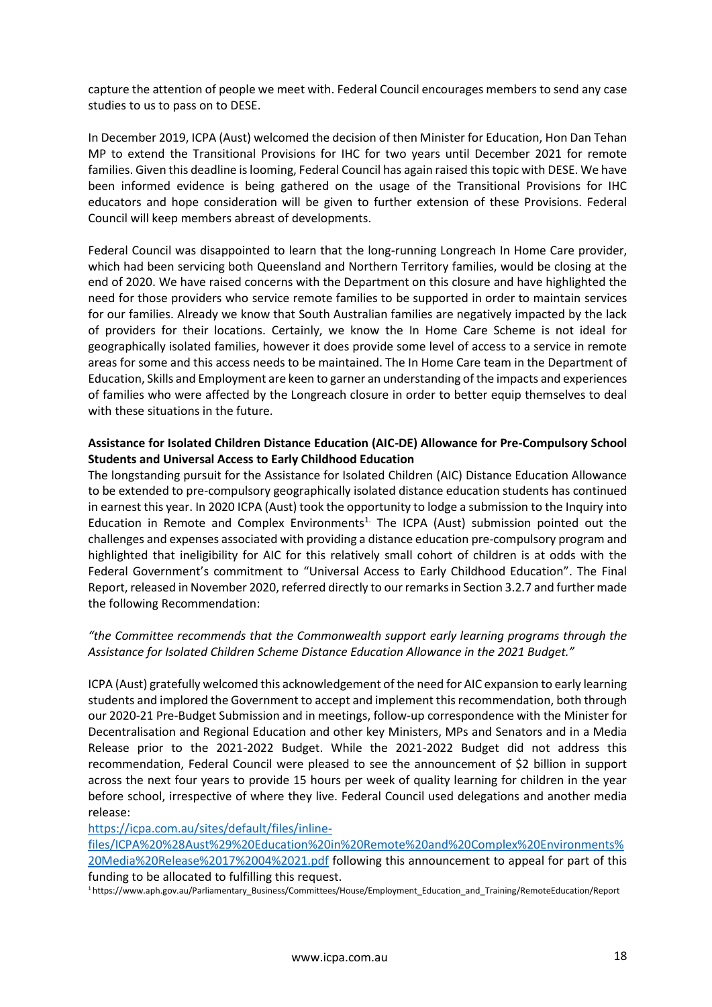capture the attention of people we meet with. Federal Council encourages members to send any case studies to us to pass on to DESE.

In December 2019, ICPA (Aust) welcomed the decision of then Minister for Education, Hon Dan Tehan MP to extend the Transitional Provisions for IHC for two years until December 2021 for remote families. Given this deadline is looming, Federal Council has again raised this topic with DESE. We have been informed evidence is being gathered on the usage of the Transitional Provisions for IHC educators and hope consideration will be given to further extension of these Provisions. Federal Council will keep members abreast of developments.

Federal Council was disappointed to learn that the long-running Longreach In Home Care provider, which had been servicing both Queensland and Northern Territory families, would be closing at the end of 2020. We have raised concerns with the Department on this closure and have highlighted the need for those providers who service remote families to be supported in order to maintain services for our families. Already we know that South Australian families are negatively impacted by the lack of providers for their locations. Certainly, we know the In Home Care Scheme is not ideal for geographically isolated families, however it does provide some level of access to a service in remote areas for some and this access needs to be maintained. The In Home Care team in the Department of Education, Skills and Employment are keen to garner an understanding of the impacts and experiences of families who were affected by the Longreach closure in order to better equip themselves to deal with these situations in the future.

## **Assistance for Isolated Children Distance Education (AIC-DE) Allowance for Pre-Compulsory School Students and Universal Access to Early Childhood Education**

The longstanding pursuit for the Assistance for Isolated Children (AIC) Distance Education Allowance to be extended to pre-compulsory geographically isolated distance education students has continued in earnest this year. In 2020 ICPA (Aust) took the opportunity to lodge a submission to the Inquiry into Education in Remote and Complex Environments<sup>1.</sup> The ICPA (Aust) submission pointed out the challenges and expenses associated with providing a distance education pre-compulsory program and highlighted that ineligibility for AIC for this relatively small cohort of children is at odds with the Federal Government's commitment to "Universal Access to Early Childhood Education". The Final Report, released in November 2020, referred directly to our remarks in Section 3.2.7 and further made the following Recommendation:

## *"the Committee recommends that the Commonwealth support early learning programs through the Assistance for Isolated Children Scheme Distance Education Allowance in the 2021 Budget."*

ICPA (Aust) gratefully welcomed this acknowledgement of the need for AIC expansion to early learning students and implored the Government to accept and implement this recommendation, both through our 2020-21 Pre-Budget Submission and in meetings, follow-up correspondence with the Minister for Decentralisation and Regional Education and other key Ministers, MPs and Senators and in a Media Release prior to the 2021-2022 Budget. While the 2021-2022 Budget did not address this recommendation, Federal Council were pleased to see the announcement of \$2 billion in support across the next four years to provide 15 hours per week of quality learning for children in the year before school, irrespective of where they live. Federal Council used delegations and another media release:

### [https://icpa.com.au/sites/default/files/inline-](https://icpa.com.au/sites/default/files/inline-files/ICPA%20%28Aust%29%20Education%20in%20Remote%20and%20Complex%20Environments%20Media%20Release%2017%2004%2021.pdf)

[files/ICPA%20%28Aust%29%20Education%20in%20Remote%20and%20Complex%20Environments%](https://icpa.com.au/sites/default/files/inline-files/ICPA%20%28Aust%29%20Education%20in%20Remote%20and%20Complex%20Environments%20Media%20Release%2017%2004%2021.pdf) [20Media%20Release%2017%2004%2021.pdf](https://icpa.com.au/sites/default/files/inline-files/ICPA%20%28Aust%29%20Education%20in%20Remote%20and%20Complex%20Environments%20Media%20Release%2017%2004%2021.pdf) following this announcement to appeal for part of this funding to be allocated to fulfilling this request.

1 [https://www.aph.gov.au/Parliamentary\\_Business/Committees/House/Employment\\_Education\\_and\\_Training/RemoteEducation/Report](https://www.aph.gov.au/Parliamentary_Business/Committees/House/Employment_Education_and_Training/RemoteEducation/Report)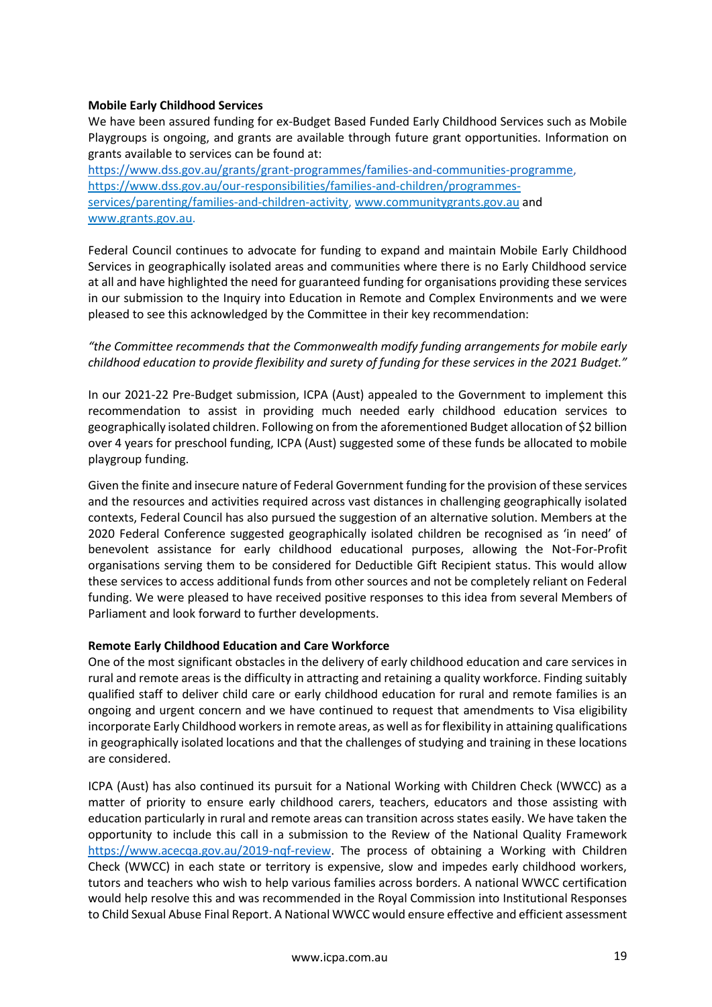### **Mobile Early Childhood Services**

We have been assured funding for ex-Budget Based Funded Early Childhood Services such as Mobile Playgroups is ongoing, and grants are available through future grant opportunities. Information on grants available to services can be found at:

[https://www.dss.gov.au/grants/grant-programmes/families-and-communities-programme,](https://www.dss.gov.au/grants/grant-programmes/families-and-communities-programme) [https://www.dss.gov.au/our-responsibilities/families-and-children/programmes](https://www.dss.gov.au/our-responsibilities/families-and-children/programmes-services/parenting/families-and-children-activity)[services/parenting/families-and-children-activity,](https://www.dss.gov.au/our-responsibilities/families-and-children/programmes-services/parenting/families-and-children-activity) [www.communitygrants.gov.au](http://www.communitygrants.gov.au/) and [www.grants.gov.au.](http://www.grants.gov.au/)

Federal Council continues to advocate for funding to expand and maintain Mobile Early Childhood Services in geographically isolated areas and communities where there is no Early Childhood service at all and have highlighted the need for guaranteed funding for organisations providing these services in our submission to the Inquiry into Education in Remote and Complex Environments and we were pleased to see this acknowledged by the Committee in their key recommendation:

## *"the Committee recommends that the Commonwealth modify funding arrangements for mobile early childhood education to provide flexibility and surety of funding for these services in the 2021 Budget."*

In our 2021-22 Pre-Budget submission, ICPA (Aust) appealed to the Government to implement this recommendation to assist in providing much needed early childhood education services to geographically isolated children. Following on from the aforementioned Budget allocation of \$2 billion over 4 years for preschool funding, ICPA (Aust) suggested some of these funds be allocated to mobile playgroup funding.

Given the finite and insecure nature of Federal Government funding for the provision of these services and the resources and activities required across vast distances in challenging geographically isolated contexts, Federal Council has also pursued the suggestion of an alternative solution. Members at the 2020 Federal Conference suggested geographically isolated children be recognised as 'in need' of benevolent assistance for early childhood educational purposes, allowing the Not-For-Profit organisations serving them to be considered for Deductible Gift Recipient status. This would allow these services to access additional funds from other sources and not be completely reliant on Federal funding. We were pleased to have received positive responses to this idea from several Members of Parliament and look forward to further developments.

## **Remote Early Childhood Education and Care Workforce**

One of the most significant obstacles in the delivery of early childhood education and care services in rural and remote areas is the difficulty in attracting and retaining a quality workforce. Finding suitably qualified staff to deliver child care or early childhood education for rural and remote families is an ongoing and urgent concern and we have continued to request that amendments to Visa eligibility incorporate Early Childhood workers in remote areas, as well as for flexibility in attaining qualifications in geographically isolated locations and that the challenges of studying and training in these locations are considered.

ICPA (Aust) has also continued its pursuit for a National Working with Children Check (WWCC) as a matter of priority to ensure early childhood carers, teachers, educators and those assisting with education particularly in rural and remote areas can transition across states easily. We have taken the opportunity to include this call in a submission to the Review of the National Quality Framework [https://www.acecqa.gov.au/2019-nqf-review.](https://www.acecqa.gov.au/2019-nqf-review) The process of obtaining a Working with Children Check (WWCC) in each state or territory is expensive, slow and impedes early childhood workers, tutors and teachers who wish to help various families across borders. A national WWCC certification would help resolve this and was recommended in the Royal Commission into Institutional Responses to Child Sexual Abuse Final Report. A National WWCC would ensure effective and efficient assessment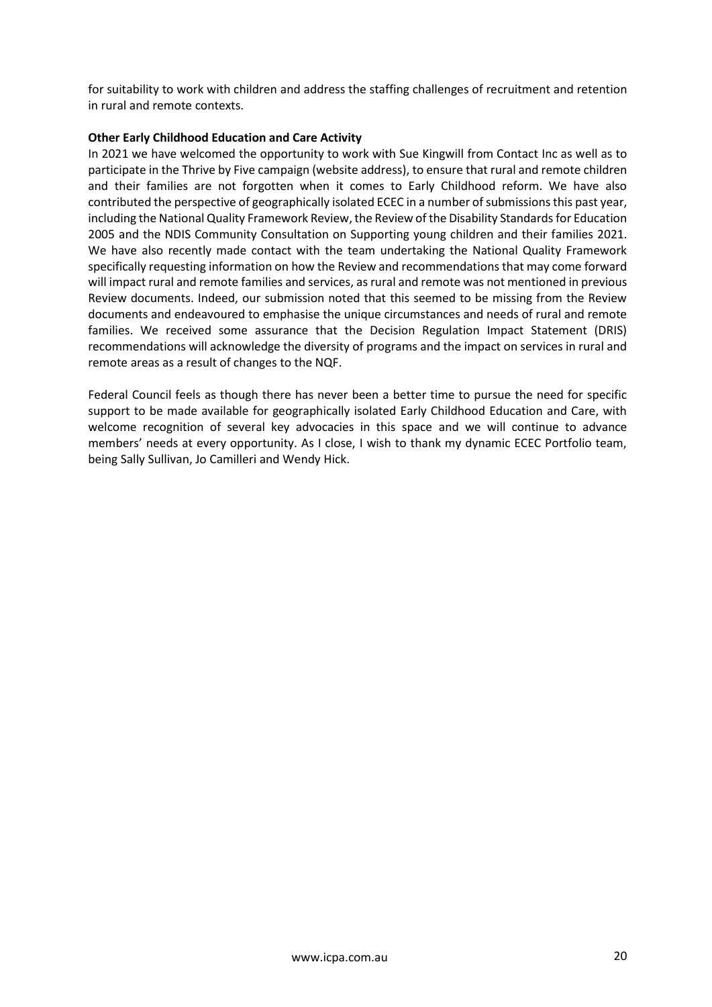for suitability to work with children and address the staffing challenges of recruitment and retention in rural and remote contexts.

## **Other Early Childhood Education and Care Activity**

In 2021 we have welcomed the opportunity to work with Sue Kingwill from Contact Inc as well as to participate in the Thrive by Five campaign (website address), to ensure that rural and remote children and their families are not forgotten when it comes to Early Childhood reform. We have also contributed the perspective of geographically isolated ECEC in a number of submissions this past year, including the National Quality Framework Review, the Review of the Disability Standards for Education 2005 and the NDIS Community Consultation on Supporting young children and their families 2021. We have also recently made contact with the team undertaking the National Quality Framework specifically requesting information on how the Review and recommendations that may come forward will impact rural and remote families and services, as rural and remote was not mentioned in previous Review documents. Indeed, our submission noted that this seemed to be missing from the Review documents and endeavoured to emphasise the unique circumstances and needs of rural and remote families. We received some assurance that the Decision Regulation Impact Statement (DRIS) recommendations will acknowledge the diversity of programs and the impact on services in rural and remote areas as a result of changes to the NQF.

Federal Council feels as though there has never been a better time to pursue the need for specific support to be made available for geographically isolated Early Childhood Education and Care, with welcome recognition of several key advocacies in this space and we will continue to advance members' needs at every opportunity. As I close, I wish to thank my dynamic ECEC Portfolio team, being Sally Sullivan, Jo Camilleri and Wendy Hick.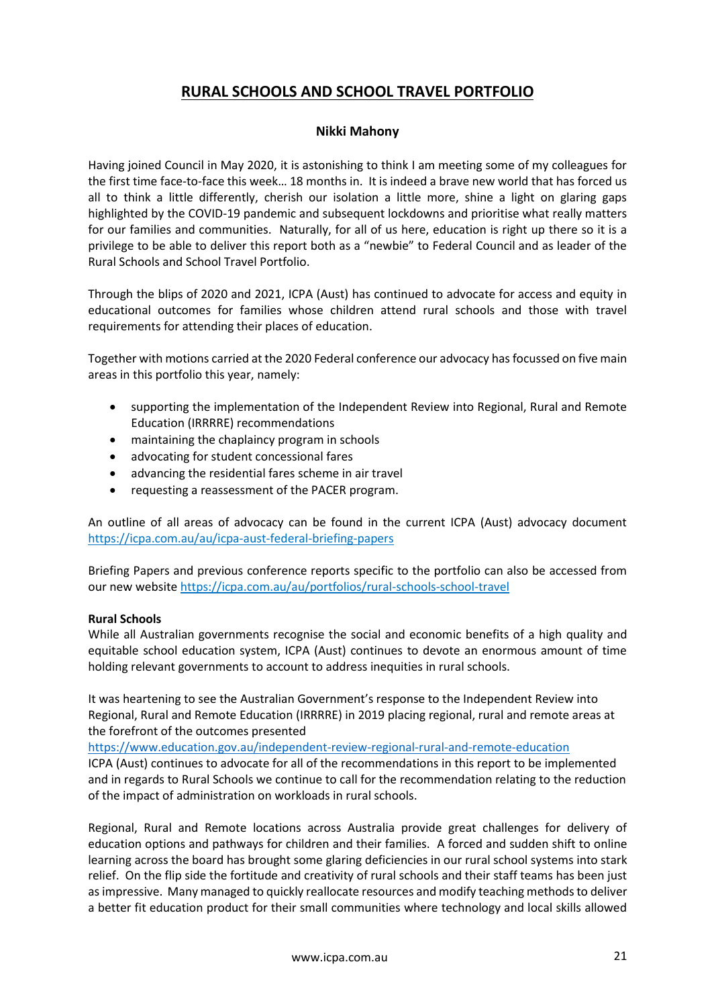# **RURAL SCHOOLS AND SCHOOL TRAVEL PORTFOLIO**

## **Nikki Mahony**

Having joined Council in May 2020, it is astonishing to think I am meeting some of my colleagues for the first time face-to-face this week… 18 months in. It is indeed a brave new world that has forced us all to think a little differently, cherish our isolation a little more, shine a light on glaring gaps highlighted by the COVID-19 pandemic and subsequent lockdowns and prioritise what really matters for our families and communities. Naturally, for all of us here, education is right up there so it is a privilege to be able to deliver this report both as a "newbie" to Federal Council and as leader of the Rural Schools and School Travel Portfolio.

Through the blips of 2020 and 2021, ICPA (Aust) has continued to advocate for access and equity in educational outcomes for families whose children attend rural schools and those with travel requirements for attending their places of education.

Together with motions carried at the 2020 Federal conference our advocacy has focussed on five main areas in this portfolio this year, namely:

- supporting the implementation of the Independent Review into Regional, Rural and Remote Education (IRRRRE) recommendations
- maintaining the chaplaincy program in schools
- advocating for student concessional fares
- advancing the residential fares scheme in air travel
- requesting a reassessment of the PACER program.

An outline of all areas of advocacy can be found in the current ICPA (Aust) advocacy document https://icpa.com.au/au/icpa-aust-federal-briefing-papers

Briefing Papers and previous conference reports specific to the portfolio can also be accessed from our new website<https://icpa.com.au/au/portfolios/rural-schools-school-travel>

### **Rural Schools**

While all Australian governments recognise the social and economic benefits of a high quality and equitable school education system, ICPA (Aust) continues to devote an enormous amount of time holding relevant governments to account to address inequities in rural schools.

It was heartening to see the Australian Government's response to the Independent Review into Regional, Rural and Remote Education (IRRRRE) in 2019 placing regional, rural and remote areas at the forefront of the outcomes presented

<https://www.education.gov.au/independent-review-regional-rural-and-remote-education>

ICPA (Aust) continues to advocate for all of the recommendations in this report to be implemented and in regards to Rural Schools we continue to call for the recommendation relating to the reduction of the impact of administration on workloads in rural schools.

Regional, Rural and Remote locations across Australia provide great challenges for delivery of education options and pathways for children and their families. A forced and sudden shift to online learning across the board has brought some glaring deficiencies in our rural school systems into stark relief. On the flip side the fortitude and creativity of rural schools and their staff teams has been just as impressive. Many managed to quickly reallocate resources and modify teaching methods to deliver a better fit education product for their small communities where technology and local skills allowed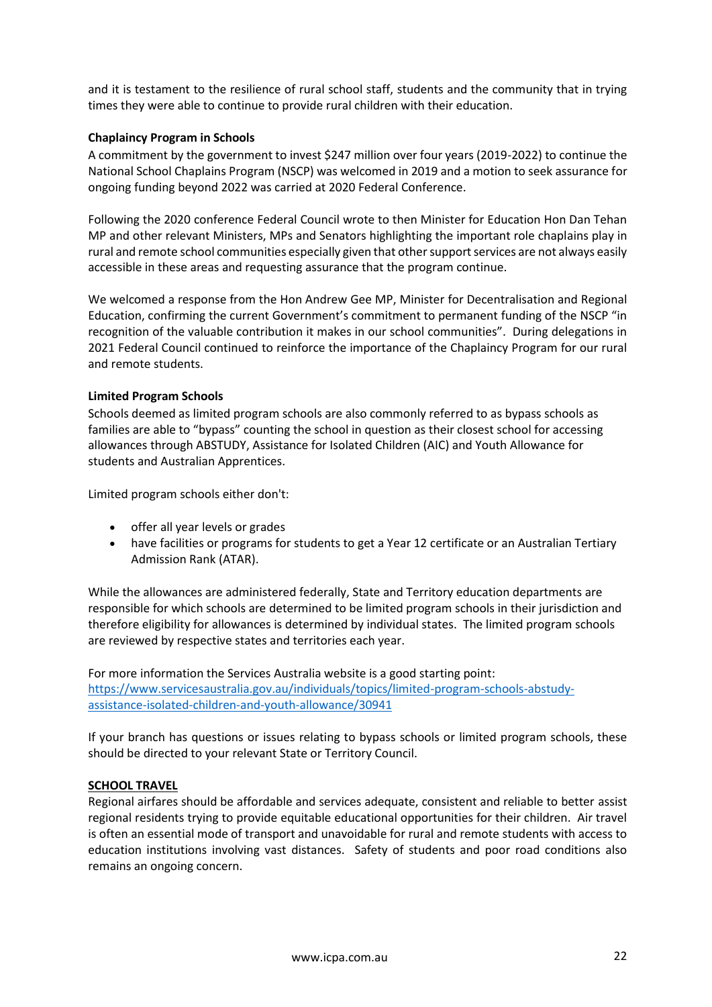and it is testament to the resilience of rural school staff, students and the community that in trying times they were able to continue to provide rural children with their education.

## **Chaplaincy Program in Schools**

A commitment by the government to invest \$247 million over four years (2019-2022) to continue the National School Chaplains Program (NSCP) was welcomed in 2019 and a motion to seek assurance for ongoing funding beyond 2022 was carried at 2020 Federal Conference.

Following the 2020 conference Federal Council wrote to then Minister for Education Hon Dan Tehan MP and other relevant Ministers, MPs and Senators highlighting the important role chaplains play in rural and remote school communities especially given that other support services are not always easily accessible in these areas and requesting assurance that the program continue.

We welcomed a response from the Hon Andrew Gee MP, Minister for Decentralisation and Regional Education, confirming the current Government's commitment to permanent funding of the NSCP "in recognition of the valuable contribution it makes in our school communities". During delegations in 2021 Federal Council continued to reinforce the importance of the Chaplaincy Program for our rural and remote students.

### **Limited Program Schools**

Schools deemed as limited program schools are also commonly referred to as bypass schools as families are able to "bypass" counting the school in question as their closest school for accessing allowances through ABSTUDY, Assistance for Isolated Children (AIC) and Youth Allowance for students and Australian Apprentices.

Limited program schools either don't:

- offer all year levels or grades
- have facilities or programs for students to get a Year 12 certificate or an Australian Tertiary Admission Rank (ATAR).

While the allowances are administered federally, State and Territory education departments are responsible for which schools are determined to be limited program schools in their jurisdiction and therefore eligibility for allowances is determined by individual states. The limited program schools are reviewed by respective states and territories each year.

For more information the Services Australia website is a good starting point: [https://www.servicesaustralia.gov.au/individuals/topics/limited-program-schools-abstudy](https://www.servicesaustralia.gov.au/individuals/topics/limited-program-schools-abstudy-assistance-isolated-children-and-youth-allowance/30941)[assistance-isolated-children-and-youth-allowance/30941](https://www.servicesaustralia.gov.au/individuals/topics/limited-program-schools-abstudy-assistance-isolated-children-and-youth-allowance/30941)

If your branch has questions or issues relating to bypass schools or limited program schools, these should be directed to your relevant State or Territory Council.

### **SCHOOL TRAVEL**

Regional airfares should be affordable and services adequate, consistent and reliable to better assist regional residents trying to provide equitable educational opportunities for their children. Air travel is often an essential mode of transport and unavoidable for rural and remote students with access to education institutions involving vast distances. Safety of students and poor road conditions also remains an ongoing concern.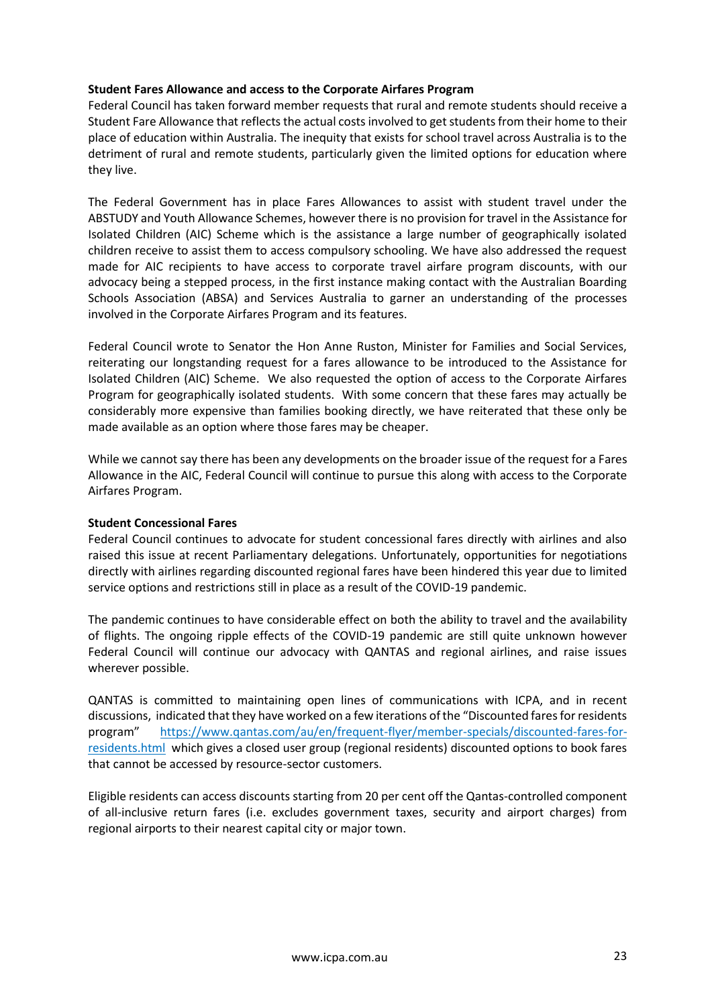### **Student Fares Allowance and access to the Corporate Airfares Program**

Federal Council has taken forward member requests that rural and remote students should receive a Student Fare Allowance that reflects the actual costs involved to get students from their home to their place of education within Australia. The inequity that exists for school travel across Australia is to the detriment of rural and remote students, particularly given the limited options for education where they live.

The Federal Government has in place Fares Allowances to assist with student travel under the ABSTUDY and Youth Allowance Schemes, however there is no provision for travel in the Assistance for Isolated Children (AIC) Scheme which is the assistance a large number of geographically isolated children receive to assist them to access compulsory schooling. We have also addressed the request made for AIC recipients to have access to corporate travel airfare program discounts, with our advocacy being a stepped process, in the first instance making contact with the Australian Boarding Schools Association (ABSA) and Services Australia to garner an understanding of the processes involved in the Corporate Airfares Program and its features.

Federal Council wrote to Senator the Hon Anne Ruston, Minister for Families and Social Services, reiterating our longstanding request for a fares allowance to be introduced to the Assistance for Isolated Children (AIC) Scheme. We also requested the option of access to the Corporate Airfares Program for geographically isolated students. With some concern that these fares may actually be considerably more expensive than families booking directly, we have reiterated that these only be made available as an option where those fares may be cheaper.

While we cannot say there has been any developments on the broader issue of the request for a Fares Allowance in the AIC, Federal Council will continue to pursue this along with access to the Corporate Airfares Program.

### **Student Concessional Fares**

Federal Council continues to advocate for student concessional fares directly with airlines and also raised this issue at recent Parliamentary delegations. Unfortunately, opportunities for negotiations directly with airlines regarding discounted regional fares have been hindered this year due to limited service options and restrictions still in place as a result of the COVID-19 pandemic.

The pandemic continues to have considerable effect on both the ability to travel and the availability of flights. The ongoing ripple effects of the COVID-19 pandemic are still quite unknown however Federal Council will continue our advocacy with QANTAS and regional airlines, and raise issues wherever possible.

QANTAS is committed to maintaining open lines of communications with ICPA, and in recent discussions, indicated that they have worked on a few iterations of the "Discounted fares for residents program" [https://www.qantas.com/au/en/frequent-flyer/member-specials/discounted-fares-for](https://www.qantas.com/au/en/frequent-flyer/member-specials/discounted-fares-for-residents.html)[residents.html](https://www.qantas.com/au/en/frequent-flyer/member-specials/discounted-fares-for-residents.html) which gives a closed user group (regional residents) discounted options to book fares that cannot be accessed by resource-sector customers.

Eligible residents can access discounts starting from 20 per cent off the Qantas-controlled component of all-inclusive return fares (i.e. excludes government taxes, security and airport charges) from regional airports to their nearest capital city or major town.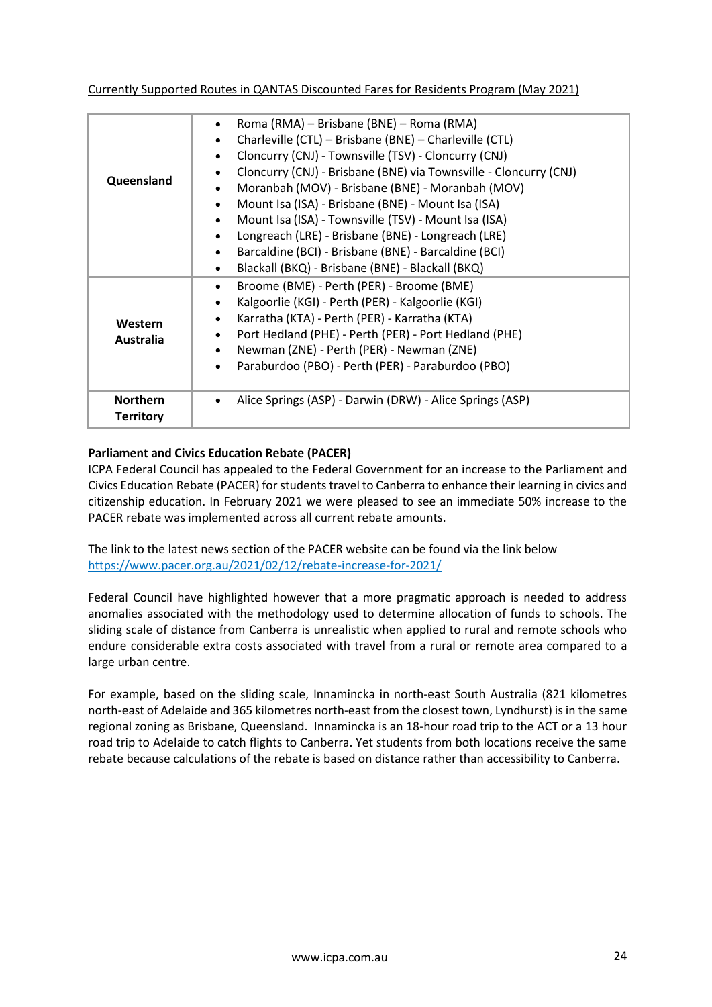Currently Supported Routes in QANTAS Discounted Fares for Residents Program (May 2021)

| Queensland                          | Roma (RMA) – Brisbane (BNE) – Roma (RMA)<br>Charleville (CTL) - Brisbane (BNE) - Charleville (CTL)<br>Cloncurry (CNJ) - Townsville (TSV) - Cloncurry (CNJ)<br>Cloncurry (CNJ) - Brisbane (BNE) via Townsville - Cloncurry (CNJ)<br>Moranbah (MOV) - Brisbane (BNE) - Moranbah (MOV)<br>Mount Isa (ISA) - Brisbane (BNE) - Mount Isa (ISA)<br>Mount Isa (ISA) - Townsville (TSV) - Mount Isa (ISA)<br>Longreach (LRE) - Brisbane (BNE) - Longreach (LRE)<br>Barcaldine (BCI) - Brisbane (BNE) - Barcaldine (BCI)<br>Blackall (BKQ) - Brisbane (BNE) - Blackall (BKQ) |
|-------------------------------------|---------------------------------------------------------------------------------------------------------------------------------------------------------------------------------------------------------------------------------------------------------------------------------------------------------------------------------------------------------------------------------------------------------------------------------------------------------------------------------------------------------------------------------------------------------------------|
| <b>Western</b><br><b>Australia</b>  | Broome (BME) - Perth (PER) - Broome (BME)<br>Kalgoorlie (KGI) - Perth (PER) - Kalgoorlie (KGI)<br>Karratha (KTA) - Perth (PER) - Karratha (KTA)<br>Port Hedland (PHE) - Perth (PER) - Port Hedland (PHE)<br>Newman (ZNE) - Perth (PER) - Newman (ZNE)<br>Paraburdoo (PBO) - Perth (PER) - Paraburdoo (PBO)                                                                                                                                                                                                                                                          |
| <b>Northern</b><br><b>Territory</b> | Alice Springs (ASP) - Darwin (DRW) - Alice Springs (ASP)                                                                                                                                                                                                                                                                                                                                                                                                                                                                                                            |

## **Parliament and Civics Education Rebate (PACER)**

ICPA Federal Council has appealed to the Federal Government for an increase to the Parliament and Civics Education Rebate (PACER) for students travel to Canberra to enhance their learning in civics and citizenship education. In February 2021 we were pleased to see an immediate 50% increase to the PACER rebate was implemented across all current rebate amounts.

The link to the latest news section of the PACER website can be found via the link below <https://www.pacer.org.au/2021/02/12/rebate-increase-for-2021/>

Federal Council have highlighted however that a more pragmatic approach is needed to address anomalies associated with the methodology used to determine allocation of funds to schools. The sliding scale of distance from Canberra is unrealistic when applied to rural and remote schools who endure considerable extra costs associated with travel from a rural or remote area compared to a large urban centre.

For example, based on the sliding scale, Innamincka in north-east South Australia (821 kilometres north-east of Adelaide and 365 kilometres north-east from the closest town, Lyndhurst) is in the same regional zoning as Brisbane, Queensland. Innamincka is an 18-hour road trip to the ACT or a 13 hour road trip to Adelaide to catch flights to Canberra. Yet students from both locations receive the same rebate because calculations of the rebate is based on distance rather than accessibility to Canberra.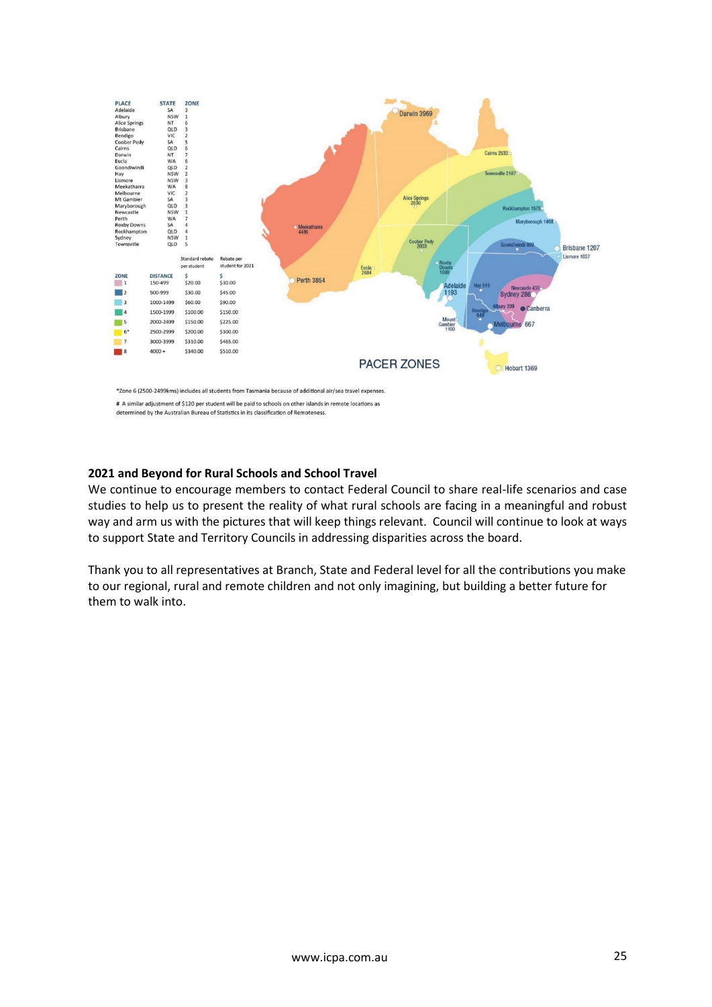

# A similar adjustment of \$120 per student will be paid to schools on other islands in remote locations as

determined by the Australian Bureau of Statistics in its classification of Remoteness.

## **2021 and Beyond for Rural Schools and School Travel**

We continue to encourage members to contact Federal Council to share real-life scenarios and case studies to help us to present the reality of what rural schools are facing in a meaningful and robust way and arm us with the pictures that will keep things relevant. Council will continue to look at ways to support State and Territory Councils in addressing disparities across the board.

Thank you to all representatives at Branch, State and Federal level for all the contributions you make to our regional, rural and remote children and not only imagining, but building a better future for them to walk into.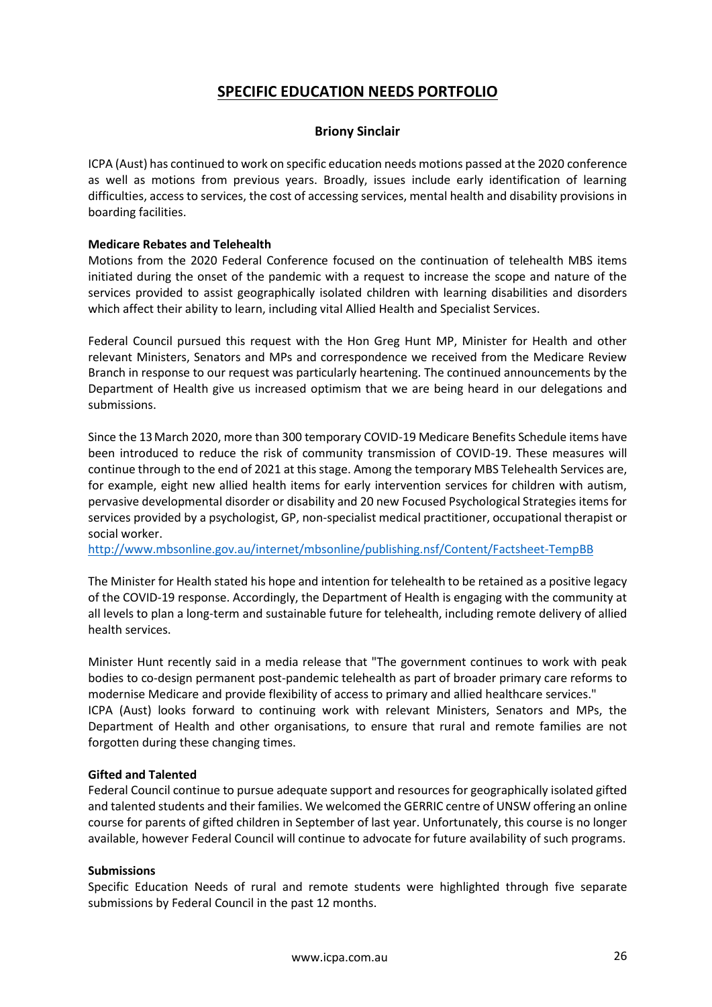# **SPECIFIC EDUCATION NEEDS PORTFOLIO**

## **Briony Sinclair**

ICPA (Aust) has continued to work on specific education needs motions passed at the 2020 conference as well as motions from previous years. Broadly, issues include early identification of learning difficulties, access to services, the cost of accessing services, mental health and disability provisions in boarding facilities.

### **Medicare Rebates and Telehealth**

Motions from the 2020 Federal Conference focused on the continuation of telehealth MBS items initiated during the onset of the pandemic with a request to increase the scope and nature of the services provided to assist geographically isolated children with learning disabilities and disorders which affect their ability to learn, including vital Allied Health and Specialist Services.

Federal Council pursued this request with the Hon Greg Hunt MP, Minister for Health and other relevant Ministers, Senators and MPs and correspondence we received from the Medicare Review Branch in response to our request was particularly heartening. The continued announcements by the Department of Health give us increased optimism that we are being heard in our delegations and submissions.

Since the 13March 2020, more than 300 temporary COVID-19 Medicare Benefits Schedule items have been introduced to reduce the risk of community transmission of COVID-19. These measures will continue through to the end of 2021 at this stage. Among the temporary MBS Telehealth Services are, for example, eight new allied health items for early intervention services for children with autism, pervasive developmental disorder or disability and 20 new Focused Psychological Strategies items for services provided by a psychologist, GP, non-specialist medical practitioner, occupational therapist or social worker.

<http://www.mbsonline.gov.au/internet/mbsonline/publishing.nsf/Content/Factsheet-TempBB>

The Minister for Health stated his hope and intention for telehealth to be retained as a positive legacy of the COVID-19 response. Accordingly, the Department of Health is engaging with the community at all levels to plan a long-term and sustainable future for telehealth, including remote delivery of allied health services.

Minister Hunt recently said in a media release that "The government continues to work with peak bodies to co-design permanent post-pandemic telehealth as part of broader primary care reforms to modernise Medicare and provide flexibility of access to primary and allied healthcare services." ICPA (Aust) looks forward to continuing work with relevant Ministers, Senators and MPs, the Department of Health and other organisations, to ensure that rural and remote families are not forgotten during these changing times.

### **Gifted and Talented**

Federal Council continue to pursue adequate support and resources for geographically isolated gifted and talented students and their families. We welcomed the GERRIC centre of UNSW offering an online course for parents of gifted children in September of last year. Unfortunately, this course is no longer available, however Federal Council will continue to advocate for future availability of such programs.

### **Submissions**

Specific Education Needs of rural and remote students were highlighted through five separate submissions by Federal Council in the past 12 months.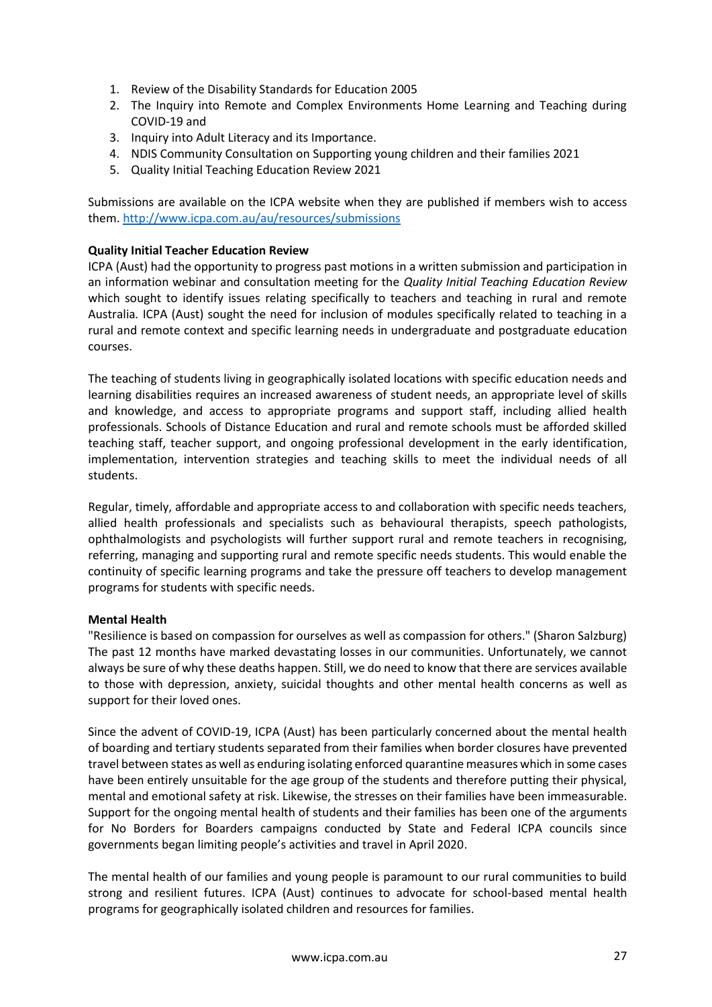- 1. Review of the Disability Standards for Education 2005
- 2. The Inquiry into Remote and Complex Environments Home Learning and Teaching during COVID-19 and
- 3. Inquiry into Adult Literacy and its Importance.
- 4. NDIS Community Consultation on Supporting young children and their families 2021
- 5. Quality Initial Teaching Education Review 2021

Submissions are available on the ICPA website when they are published if members wish to access them[. http://www.icpa.com.au/au/resources/submissions](http://www.icpa.com.au/au/resources/submissions)

## **Quality Initial Teacher Education Review**

ICPA (Aust) had the opportunity to progress past motions in a written submission and participation in an information webinar and consultation meeting for the *Quality Initial Teaching Education Review*  which sought to identify issues relating specifically to teachers and teaching in rural and remote Australia*.* ICPA (Aust) sought the need for inclusion of modules specifically related to teaching in a rural and remote context and specific learning needs in undergraduate and postgraduate education courses.

The teaching of students living in geographically isolated locations with specific education needs and learning disabilities requires an increased awareness of student needs, an appropriate level of skills and knowledge, and access to appropriate programs and support staff, including allied health professionals. Schools of Distance Education and rural and remote schools must be afforded skilled teaching staff, teacher support, and ongoing professional development in the early identification, implementation, intervention strategies and teaching skills to meet the individual needs of all students.

Regular, timely, affordable and appropriate access to and collaboration with specific needs teachers, allied health professionals and specialists such as behavioural therapists, speech pathologists, ophthalmologists and psychologists will further support rural and remote teachers in recognising, referring, managing and supporting rural and remote specific needs students. This would enable the continuity of specific learning programs and take the pressure off teachers to develop management programs for students with specific needs.

### **Mental Health**

"Resilience is based on compassion for ourselves as well as compassion for others." (Sharon Salzburg) The past 12 months have marked devastating losses in our communities. Unfortunately, we cannot always be sure of why these deaths happen. Still, we do need to know that there are services available to those with depression, anxiety, suicidal thoughts and other mental health concerns as well as support for their loved ones.

Since the advent of COVID-19, ICPA (Aust) has been particularly concerned about the mental health of boarding and tertiary students separated from their families when border closures have prevented travel between states as well as enduring isolating enforced quarantine measures which in some cases have been entirely unsuitable for the age group of the students and therefore putting their physical, mental and emotional safety at risk. Likewise, the stresses on their families have been immeasurable. Support for the ongoing mental health of students and their families has been one of the arguments for No Borders for Boarders campaigns conducted by State and Federal ICPA councils since governments began limiting people's activities and travel in April 2020.

The mental health of our families and young people is paramount to our rural communities to build strong and resilient futures. ICPA (Aust) continues to advocate for school-based mental health programs for geographically isolated children and resources for families.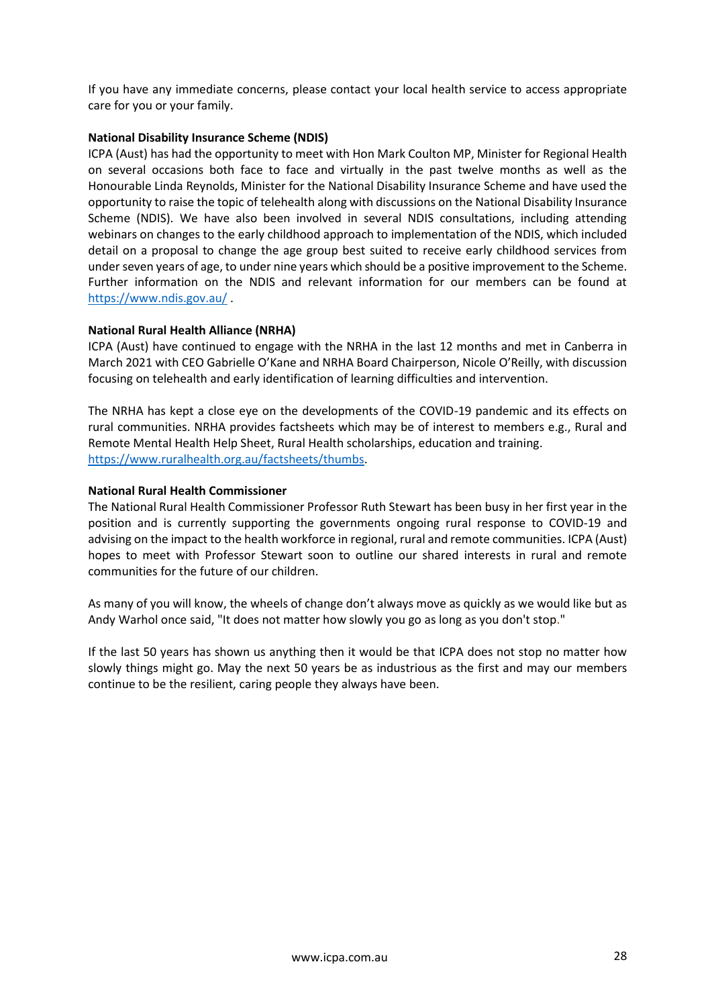If you have any immediate concerns, please contact your local health service to access appropriate care for you or your family.

## **National Disability Insurance Scheme (NDIS)**

ICPA (Aust) has had the opportunity to meet with Hon Mark Coulton MP, Minister for Regional Health on several occasions both face to face and virtually in the past twelve months as well as the Honourable Linda Reynolds, Minister for the National Disability Insurance Scheme and have used the opportunity to raise the topic of telehealth along with discussions on the National Disability Insurance Scheme (NDIS). We have also been involved in several NDIS consultations, including attending webinars on changes to the early childhood approach to implementation of the NDIS, which included detail on a proposal to change the age group best suited to receive early childhood services from under seven years of age, to under nine years which should be a positive improvement to the Scheme. Further information on the NDIS and relevant information for our members can be found at <https://www.ndis.gov.au/> .

## **National Rural Health Alliance (NRHA)**

ICPA (Aust) have continued to engage with the NRHA in the last 12 months and met in Canberra in March 2021 with CEO Gabrielle O'Kane and NRHA Board Chairperson, Nicole O'Reilly, with discussion focusing on telehealth and early identification of learning difficulties and intervention.

The NRHA has kept a close eye on the developments of the COVID-19 pandemic and its effects on rural communities. NRHA provides factsheets which may be of interest to members e.g., Rural and Remote Mental Health Help Sheet, Rural Health scholarships, education and training. [https://www.ruralhealth.org.au/factsheets/thumbs.](https://www.ruralhealth.org.au/factsheets/thumbs)

## **National Rural Health Commissioner**

The National Rural Health Commissioner Professor Ruth Stewart has been busy in her first year in the position and is currently supporting the governments ongoing rural response to COVID-19 and advising on the impact to the health workforce in regional, rural and remote communities. ICPA (Aust) hopes to meet with Professor Stewart soon to outline our shared interests in rural and remote communities for the future of our children.

As many of you will know, the wheels of change don't always move as quickly as we would like but as Andy Warhol once said, "It does not matter how slowly you go as long as you don't stop."

If the last 50 years has shown us anything then it would be that ICPA does not stop no matter how slowly things might go. May the next 50 years be as industrious as the first and may our members continue to be the resilient, caring people they always have been.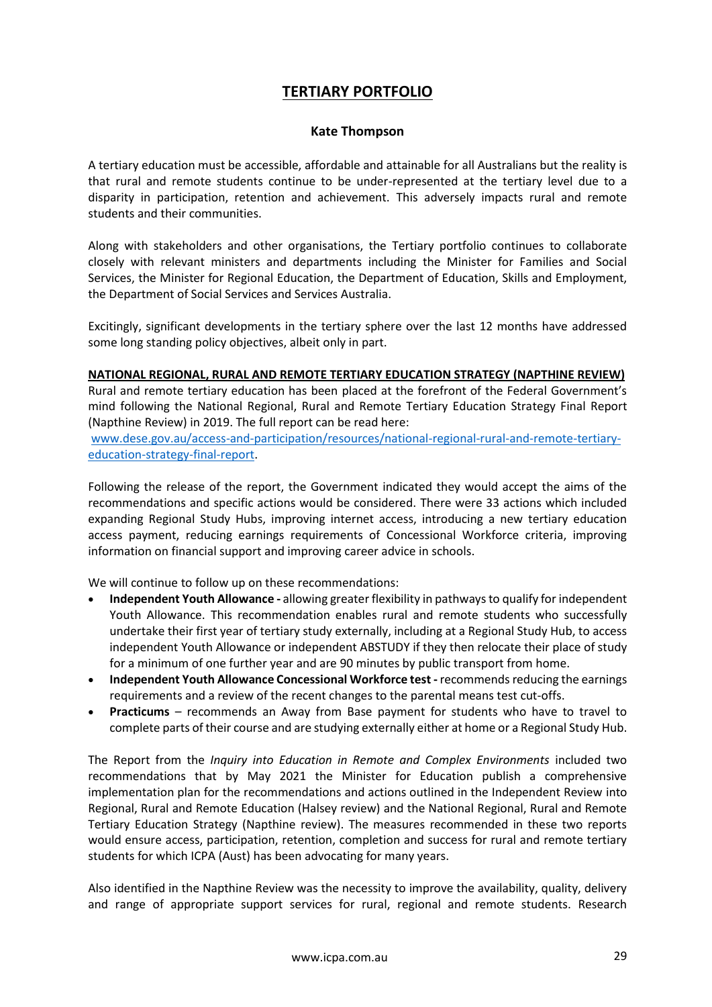# **TERTIARY PORTFOLIO**

## **Kate Thompson**

A tertiary education must be accessible, affordable and attainable for all Australians but the reality is that rural and remote students continue to be under-represented at the tertiary level due to a disparity in participation, retention and achievement. This adversely impacts rural and remote students and their communities.

Along with stakeholders and other organisations, the Tertiary portfolio continues to collaborate closely with relevant ministers and departments including the Minister for Families and Social Services, the Minister for Regional Education, the Department of Education, Skills and Employment, the Department of Social Services and Services Australia.

Excitingly, significant developments in the tertiary sphere over the last 12 months have addressed some long standing policy objectives, albeit only in part.

## **NATIONAL REGIONAL, RURAL AND REMOTE TERTIARY EDUCATION STRATEGY (NAPTHINE REVIEW)**

Rural and remote tertiary education has been placed at the forefront of the Federal Government's mind following the National Regional, Rural and Remote Tertiary Education Strategy Final Report (Napthine Review) in 2019. The full report can be read here:

[www.dese.gov.au/access-and-participation/resources/national-regional-rural-and-remote-tertiary](http://www.dese.gov.au/access-and-participation/resources/national-regional-rural-and-remote-tertiary-education-strategy-final-report)[education-strategy-final-report.](http://www.dese.gov.au/access-and-participation/resources/national-regional-rural-and-remote-tertiary-education-strategy-final-report)

Following the release of the report, the Government indicated they would accept the aims of the recommendations and specific actions would be considered. There were 33 actions which included expanding Regional Study Hubs, improving internet access, introducing a new tertiary education access payment, reducing earnings requirements of Concessional Workforce criteria, improving information on financial support and improving career advice in schools.

We will continue to follow up on these recommendations:

- **Independent Youth Allowance -** allowing greater flexibility in pathways to qualify for independent Youth Allowance. This recommendation enables rural and remote students who successfully undertake their first year of tertiary study externally, including at a Regional Study Hub, to access independent Youth Allowance or independent ABSTUDY if they then relocate their place of study for a minimum of one further year and are 90 minutes by public transport from home.
- **Independent Youth Allowance Concessional Workforce test -** recommends reducing the earnings requirements and a review of the recent changes to the parental means test cut-offs.
- **Practicums**  recommends an Away from Base payment for students who have to travel to complete parts of their course and are studying externally either at home or a Regional Study Hub.

The Report from the *Inquiry into Education in Remote and Complex Environments* included two recommendations that by May 2021 the Minister for Education publish a comprehensive implementation plan for the recommendations and actions outlined in the Independent Review into Regional, Rural and Remote Education (Halsey review) and the National Regional, Rural and Remote Tertiary Education Strategy (Napthine review). The measures recommended in these two reports would ensure access, participation, retention, completion and success for rural and remote tertiary students for which ICPA (Aust) has been advocating for many years.

Also identified in the Napthine Review was the necessity to improve the availability, quality, delivery and range of appropriate support services for rural, regional and remote students. Research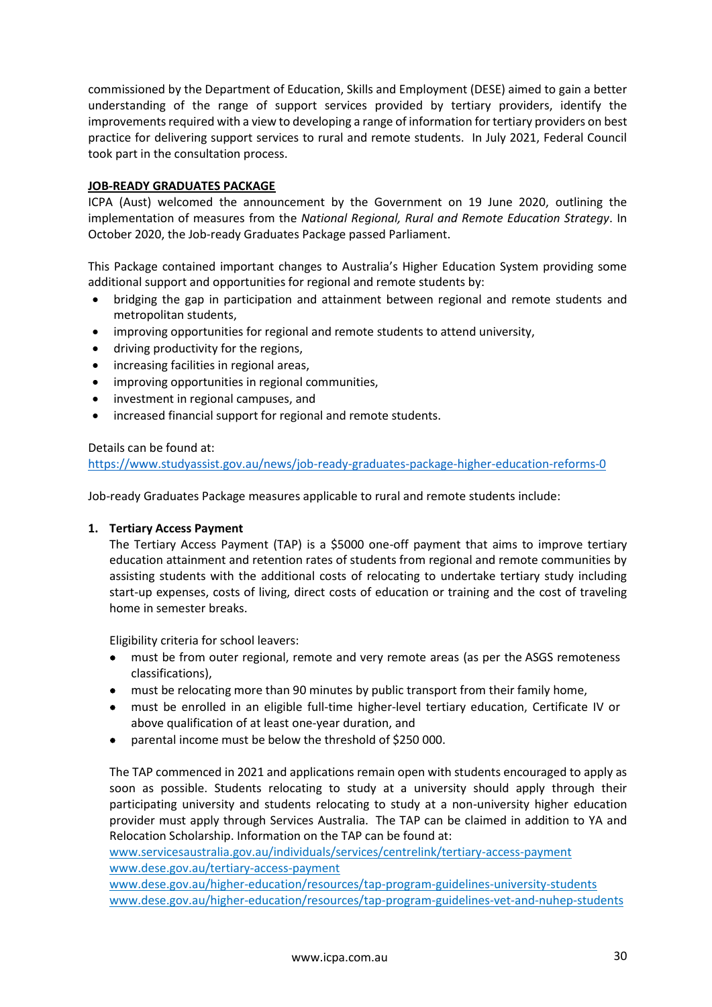commissioned by the Department of Education, Skills and Employment (DESE) aimed to gain a better understanding of the range of support services provided by tertiary providers, identify the improvements required with a view to developing a range of information for tertiary providers on best practice for delivering support services to rural and remote students. In July 2021, Federal Council took part in the consultation process.

## **JOB-READY GRADUATES PACKAGE**

ICPA (Aust) welcomed the announcement by the Government on 19 June 2020, outlining the implementation of measures from the *National Regional, Rural and Remote Education Strategy*. In October 2020, the Job-ready Graduates Package passed Parliament.

This Package contained important changes to Australia's Higher Education System providing some additional support and opportunities for regional and remote students by:

- bridging the gap in participation and attainment between regional and remote students and metropolitan students,
- improving opportunities for regional and remote students to attend university,
- driving productivity for the regions,
- increasing facilities in regional areas,
- improving opportunities in regional communities,
- investment in regional campuses, and
- increased financial support for regional and remote students.

## Details can be found at:

<https://www.studyassist.gov.au/news/job-ready-graduates-package-higher-education-reforms-0>

Job-ready Graduates Package measures applicable to rural and remote students include:

### **1. Tertiary Access Payment**

The Tertiary Access Payment (TAP) is a \$5000 one-off payment that aims to improve tertiary education attainment and retention rates of students from regional and remote communities by assisting students with the additional costs of relocating to undertake tertiary study including start-up expenses, costs of living, direct costs of education or training and the cost of traveling home in semester breaks.

Eligibility criteria for school leavers:

- must be from outer regional, remote and very remote areas (as per the ASGS remoteness [classifications\)](https://www.abs.gov.au/websitedbs/d3310114.nsf/home/remoteness+structure),
- must be relocating more than 90 minutes by public transport from their family home,
- must be enrolled in an eligible full-time higher-level tertiary education, Certificate IV or above qualification of at least one-year duration, and
- parental income must be below the threshold of \$250 000.

The TAP commenced in 2021 and applications remain open with students encouraged to apply as soon as possible. Students relocating to study at a university should apply through their participating university and students relocating to study at a non-university higher education provider must apply through Services Australia. The TAP can be claimed in addition to YA and Relocation Scholarship. Information on the TAP can be found at:

[www.servicesaustralia.gov.au/individuals/services/centrelink/tertiary-access-payment](http://www.servicesaustralia.gov.au/individuals/services/centrelink/tertiary-access-payment) [www.dese.gov.au/tertiary-access-payment](http://www.dese.gov.au/tertiary-access-payment)

[www.dese.gov.au/higher-education/resources/tap-program-guidelines-university-students](http://www.dese.gov.au/higher-education/resources/tap-program-guidelines-university-students)  [www.dese.gov.au/higher-education/resources/tap-program-guidelines-vet-and-nuhep-students](http://www.dese.gov.au/higher-education/resources/tap-program-guidelines-vet-and-nuhep-students)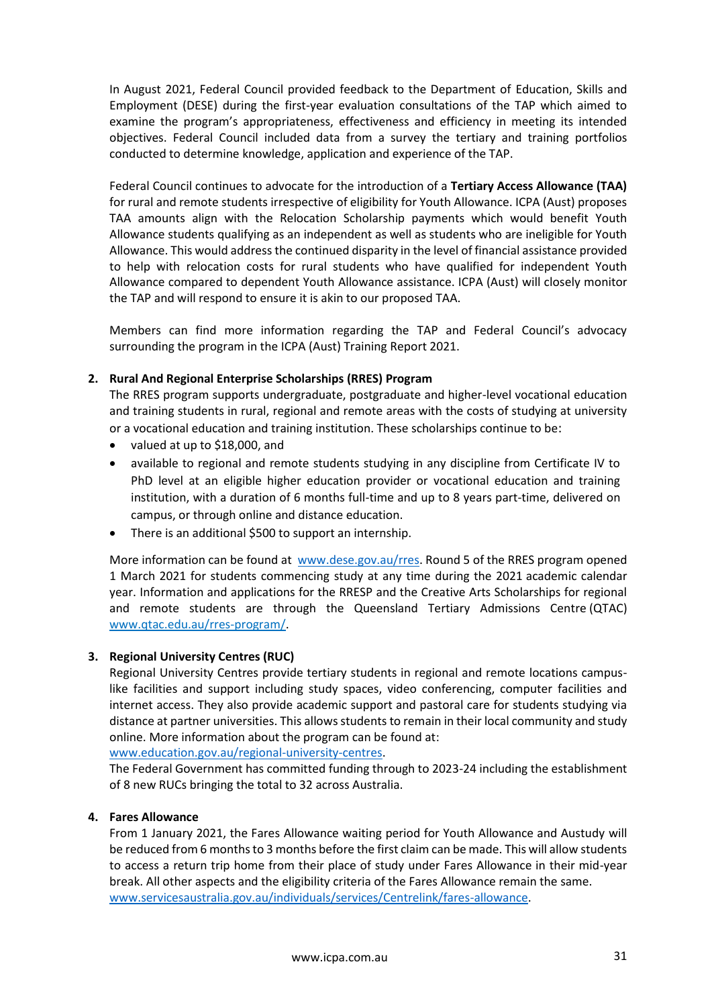In August 2021, Federal Council provided feedback to the Department of Education, Skills and Employment (DESE) during the first-year evaluation consultations of the TAP which aimed to examine the program's appropriateness, effectiveness and efficiency in meeting its intended objectives. Federal Council included data from a survey the tertiary and training portfolios conducted to determine knowledge, application and experience of the TAP.

Federal Council continues to advocate for the introduction of a **Tertiary Access Allowance (TAA)** for rural and remote students irrespective of eligibility for Youth Allowance. ICPA (Aust) proposes TAA amounts align with the Relocation Scholarship payments which would benefit Youth Allowance students qualifying as an independent as well as students who are ineligible for Youth Allowance. This would address the continued disparity in the level of financial assistance provided to help with relocation costs for rural students who have qualified for independent Youth Allowance compared to dependent Youth Allowance assistance. ICPA (Aust) will closely monitor the TAP and will respond to ensure it is akin to our proposed TAA.

Members can find more information regarding the TAP and Federal Council's advocacy surrounding the program in the ICPA (Aust) Training Report 2021.

## **2. Rural And Regional Enterprise Scholarships (RRES) Program**

The RRES program supports undergraduate, postgraduate and higher-level vocational education and training students in rural, regional and remote areas with the costs of studying at university or a vocational education and training institution. These scholarships continue to be:

- valued at up to \$18,000, and
- available to regional and remote students studying in any discipline from Certificate IV to PhD level at an eligible higher education provider or vocational education and training institution, with a duration of 6 months full-time and up to 8 years part-time, delivered on campus, or through online and distance education.
- There is an additional \$500 to support an internship.

More information can be found at [www.dese.gov.au/rres.](http://www.dese.gov.au/rres) Round 5 of the RRES program opened 1 March 2021 for students commencing study at any time during the 2021 academic calendar year. Information and applications for the RRESP and the Creative Arts Scholarships for regional and remote students are through the Queensland Tertiary Admissions Centre (QTAC) [www.qtac.edu.au/rres-program/.](http://www.qtac.edu.au/rres-program/)

### **3. Regional University Centres (RUC)**

Regional University Centres provide tertiary students in regional and remote locations campuslike facilities and support including study spaces, video conferencing, computer facilities and internet access. They also provide academic support and pastoral care for students studying via distance at partner universities. This allows students to remain in their local community and study online. More information about the program can be found at:

[www.education.gov.au/regional-university-centres.](http://www.education.gov.au/regional-university-centres)

The Federal Government has committed funding through to 2023-24 including the establishment of 8 new RUCs bringing the total to 32 across Australia.

## **4. Fares Allowance**

From 1 January 2021, the Fares Allowance waiting period for Youth Allowance and Austudy will be reduced from 6 months to 3 months before the first claim can be made. This will allow students to access a return trip home from their place of study under Fares Allowance in their mid-year break. All other aspects and the eligibility criteria of the Fares Allowance remain the same. [www.servicesaustralia.gov.au/individuals/services/Centrelink/fares-allowance.](http://www.servicesaustralia.gov.au/individuals/services/Centrelink/fares-allowance)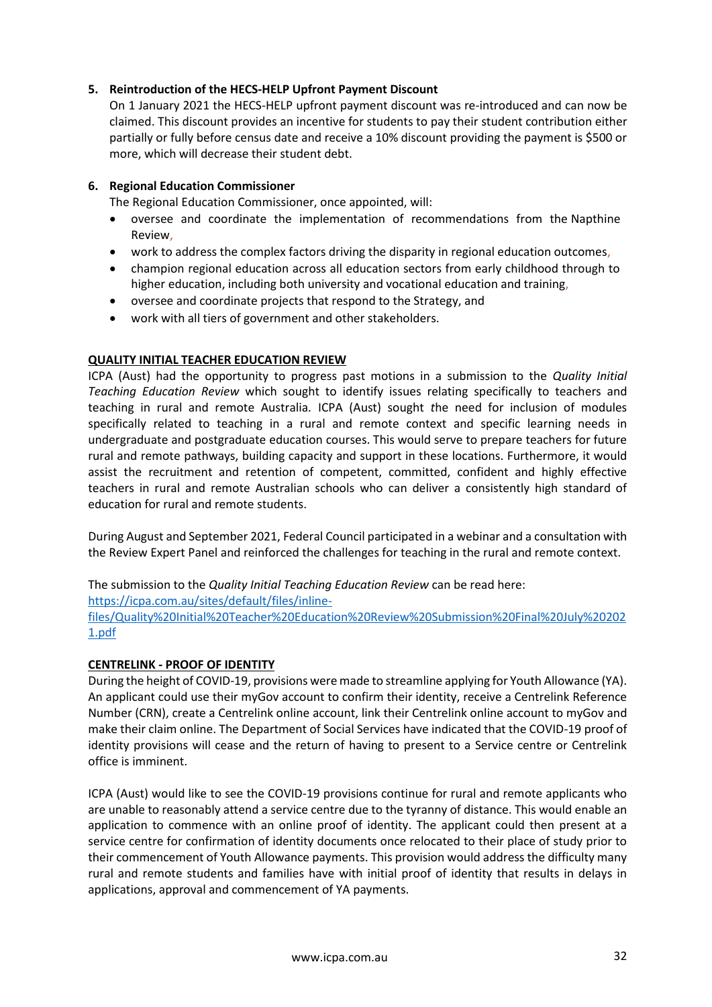## **5. Reintroduction of the HECS-HELP Upfront Payment Discount**

On 1 January 2021 the HECS-HELP upfront payment discount was re-introduced and can now be claimed. This discount provides an incentive for students to pay their student contribution either partially or fully before census date and receive a 10% discount providing the payment is \$500 or more, which will decrease their student debt.

## **6. Regional Education Commissioner**

The Regional Education Commissioner, once appointed, will:

- oversee and coordinate the implementation of recommendations from the Napthine Review,
- work to address the complex factors driving the disparity in regional education outcomes,
- champion regional education across all education sectors from early childhood through to higher education, including both university and vocational education and training,
- oversee and coordinate projects that respond to the Strategy, and
- work with all tiers of government and other stakeholders.

## **QUALITY INITIAL TEACHER EDUCATION REVIEW**

ICPA (Aust) had the opportunity to progress past motions in a submission to the *Quality Initial Teaching Education Review* which sought to identify issues relating specifically to teachers and teaching in rural and remote Australia*.* ICPA (Aust) sought *t*he need for inclusion of modules specifically related to teaching in a rural and remote context and specific learning needs in undergraduate and postgraduate education courses. This would serve to prepare teachers for future rural and remote pathways, building capacity and support in these locations. Furthermore, it would assist the recruitment and retention of competent, committed, confident and highly effective teachers in rural and remote Australian schools who can deliver a consistently high standard of education for rural and remote students.

During August and September 2021, Federal Council participated in a webinar and a consultation with the Review Expert Panel and reinforced the challenges for teaching in the rural and remote context.

The submission to the *Quality Initial Teaching Education Review* can be read here: [https://icpa.com.au/sites/default/files/inline](https://icpa.com.au/sites/default/files/inline-files/Quality%20Initial%20Teacher%20Education%20Review%20Submission%20Final%20July%202021.pdf)[files/Quality%20Initial%20Teacher%20Education%20Review%20Submission%20Final%20July%20202](https://icpa.com.au/sites/default/files/inline-files/Quality%20Initial%20Teacher%20Education%20Review%20Submission%20Final%20July%202021.pdf) [1.pdf](https://icpa.com.au/sites/default/files/inline-files/Quality%20Initial%20Teacher%20Education%20Review%20Submission%20Final%20July%202021.pdf)

### **CENTRELINK - PROOF OF IDENTITY**

During the height of COVID-19, provisions were made to streamline applying for Youth Allowance (YA). An applicant could use their myGov account to confirm their identity, receive a Centrelink Reference Number (CRN), create a Centrelink online account, link their Centrelink online account to myGov and make their claim online. The Department of Social Services have indicated that the COVID-19 proof of identity provisions will cease and the return of having to present to a Service centre or Centrelink office is imminent.

ICPA (Aust) would like to see the COVID-19 provisions continue for rural and remote applicants who are unable to reasonably attend a service centre due to the tyranny of distance. This would enable an application to commence with an online proof of identity. The applicant could then present at a service centre for confirmation of identity documents once relocated to their place of study prior to their commencement of Youth Allowance payments. This provision would address the difficulty many rural and remote students and families have with initial proof of identity that results in delays in applications, approval and commencement of YA payments.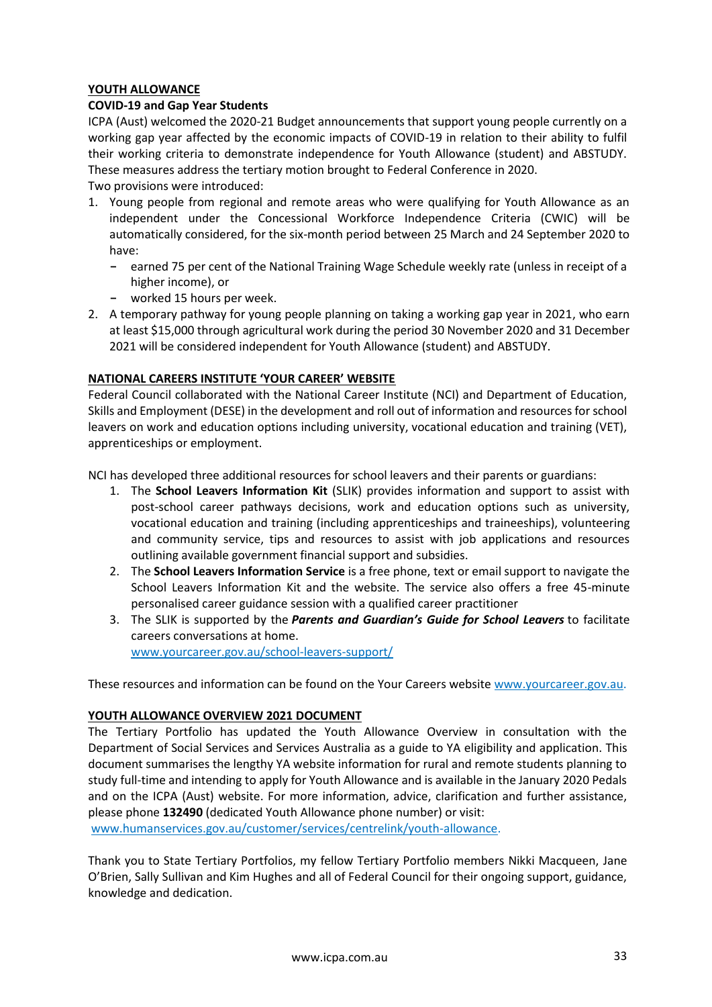## **YOUTH ALLOWANCE**

### **COVID-19 and Gap Year Students**

ICPA (Aust) welcomed the 2020-21 Budget announcements that support young people currently on a working gap year affected by the economic impacts of COVID-19 in relation to their ability to fulfil their working criteria to demonstrate independence for Youth Allowance (student) and ABSTUDY. These measures address the tertiary motion brought to Federal Conference in 2020.

Two provisions were introduced:

- 1. Young people from regional and remote areas who were qualifying for Youth Allowance as an independent under the Concessional Workforce Independence Criteria (CWIC) will be automatically considered, for the six-month period between 25 March and 24 September 2020 to have:
	- **-** earned 75 per cent of the National Training Wage Schedule weekly rate (unless in receipt of a higher income), or
	- **-** worked 15 hours per week.
- 2. A temporary pathway for young people planning on taking a working gap year in 2021, who earn at least \$15,000 through agricultural work during the period 30 November 2020 and 31 December 2021 will be considered independent for Youth Allowance (student) and ABSTUDY.

## **NATIONAL CAREERS INSTITUTE 'YOUR CAREER' WEBSITE**

Federal Council collaborated with the National Career Institute (NCI) and Department of Education, Skills and Employment (DESE) in the development and roll out of information and resources for school leavers on work and education options including university, vocational education and training (VET), apprenticeships or employment.

NCI has developed three additional resources for school leavers and their parents or guardians:

- 1. The **School Leavers Information Kit** (SLIK) provides information and support to assist with post-school career pathways decisions, work and education options such as university, vocational education and training (including apprenticeships and traineeships), volunteering and community service, tips and resources to assist with job applications and resources outlining available government financial support and subsidies.
- 2. The **School Leavers Information Service** is a free phone, text or email support to navigate the School Leavers Information Kit and the website. The service also offers a free 45-minute personalised career guidance session with a qualified career practitioner
- 3. The SLIK is supported by the *Parents and Guardian's Guide for School Leavers* to facilitate careers conversations at home.

[www.yourcareer.gov.au/school-leavers-support/](http://www.yourcareer.gov.au/school-leavers-support/)

These resources and information can be found on the Your Careers website [www.yourcareer.gov.au.](http://www.yourcareer.gov.au/)

### **YOUTH ALLOWANCE OVERVIEW 2021 DOCUMENT**

The Tertiary Portfolio has updated the Youth Allowance Overview in consultation with the Department of Social Services and Services Australia as a guide to YA eligibility and application. This document summarises the lengthy YA website information for rural and remote students planning to study full-time and intending to apply for Youth Allowance and is available in the January 2020 Pedals and on the ICPA (Aust) website. For more information, advice, clarification and further assistance, please phone **132490** (dedicated Youth Allowance phone number) or visit:

[www.humanservices.gov.au/customer/services/centrelink/youth-allowance.](http://www.humanservices.gov.au/customer/services/centrelink/youth-allowance)

Thank you to State Tertiary Portfolios, my fellow Tertiary Portfolio members Nikki Macqueen, Jane O'Brien, Sally Sullivan and Kim Hughes and all of Federal Council for their ongoing support, guidance, knowledge and dedication.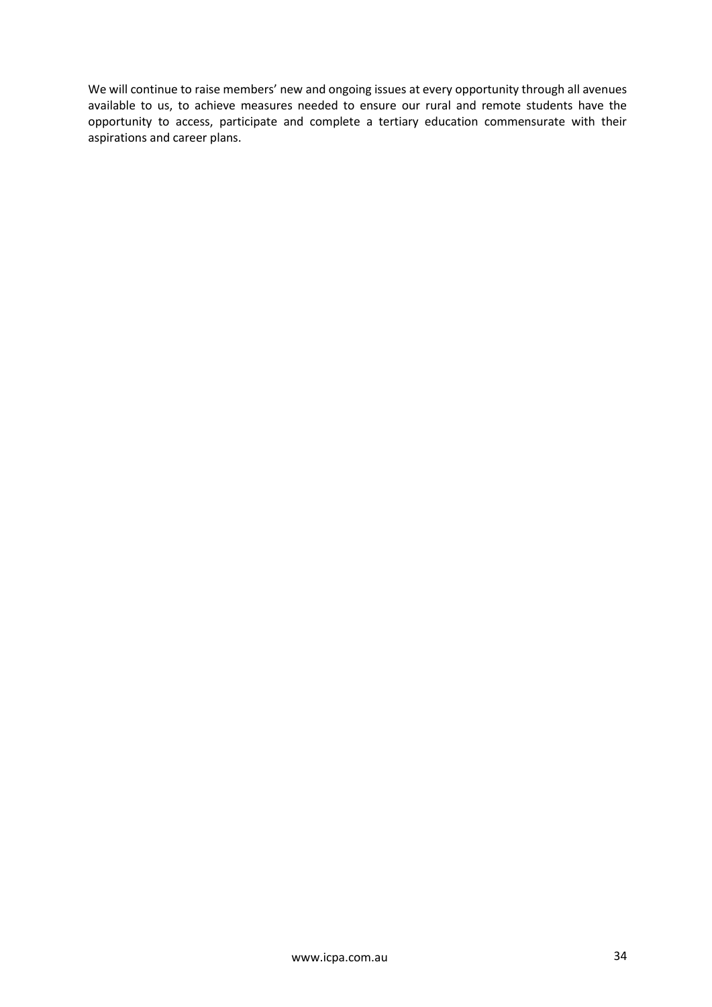We will continue to raise members' new and ongoing issues at every opportunity through all avenues available to us, to achieve measures needed to ensure our rural and remote students have the opportunity to access, participate and complete a tertiary education commensurate with their aspirations and career plans.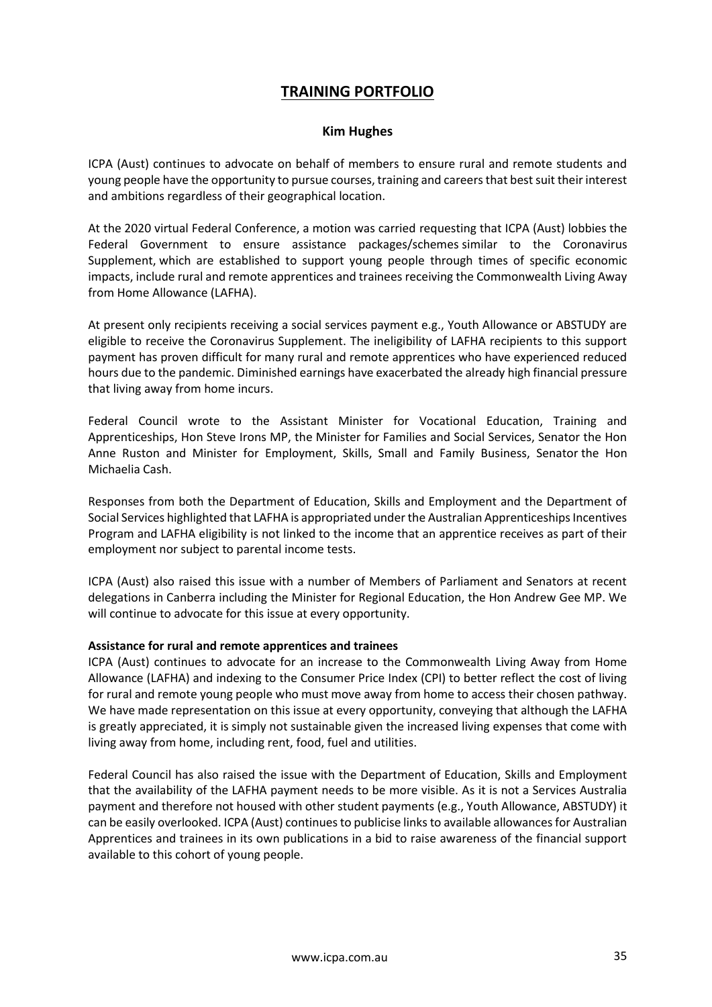# **TRAINING PORTFOLIO**

## **Kim Hughes**

ICPA (Aust) continues to advocate on behalf of members to ensure rural and remote students and young people have the opportunity to pursue courses, training and careers that best suit their interest and ambitions regardless of their geographical location.

At the 2020 virtual Federal Conference, a motion was carried requesting that ICPA (Aust) lobbies the Federal Government to ensure assistance packages/schemes similar to the Coronavirus Supplement, which are established to support young people through times of specific economic impacts, include rural and remote apprentices and trainees receiving the Commonwealth Living Away from Home Allowance (LAFHA).

At present only recipients receiving a social services payment e.g., Youth Allowance or ABSTUDY are eligible to receive the Coronavirus Supplement. The ineligibility of LAFHA recipients to this support payment has proven difficult for many rural and remote apprentices who have experienced reduced hours due to the pandemic. Diminished earnings have exacerbated the already high financial pressure that living away from home incurs.

Federal Council wrote to the Assistant Minister for Vocational Education, Training and Apprenticeships, Hon Steve Irons MP, the Minister for Families and Social Services, Senator the Hon Anne Ruston and Minister for Employment, Skills, Small and Family Business, Senator the Hon Michaelia Cash.

Responses from both the Department of Education, Skills and Employment and the Department of Social Services highlighted that LAFHA is appropriated under the Australian Apprenticeships Incentives Program and LAFHA eligibility is not linked to the income that an apprentice receives as part of their employment nor subject to parental income tests.

ICPA (Aust) also raised this issue with a number of Members of Parliament and Senators at recent delegations in Canberra including the Minister for Regional Education, the Hon Andrew Gee MP. We will continue to advocate for this issue at every opportunity.

### **Assistance for rural and remote apprentices and trainees**

ICPA (Aust) continues to advocate for an increase to the Commonwealth Living Away from Home Allowance (LAFHA) and indexing to the Consumer Price Index (CPI) to better reflect the cost of living for rural and remote young people who must move away from home to access their chosen pathway. We have made representation on this issue at every opportunity, conveying that although the LAFHA is greatly appreciated, it is simply not sustainable given the increased living expenses that come with living away from home, including rent, food, fuel and utilities.

Federal Council has also raised the issue with the Department of Education, Skills and Employment that the availability of the LAFHA payment needs to be more visible. As it is not a Services Australia payment and therefore not housed with other student payments (e.g., Youth Allowance, ABSTUDY) it can be easily overlooked. ICPA (Aust) continues to publicise links to available allowances for Australian Apprentices and trainees in its own publications in a bid to raise awareness of the financial support available to this cohort of young people.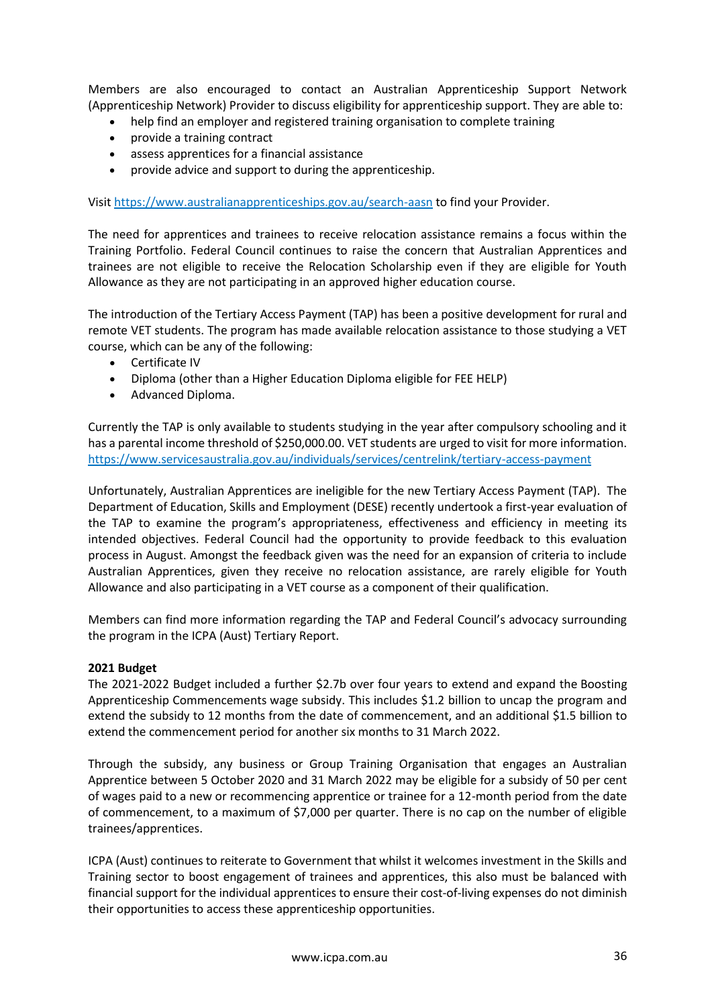Members are also encouraged to contact an Australian Apprenticeship Support Network (Apprenticeship Network) Provider to discuss eligibility for apprenticeship support. They are able to:

- help find an employer and registered training organisation to complete training
- provide a training contract
- assess apprentices for a financial assistance
- provide advice and support to during the apprenticeship.

Visi[t https://www.australianapprenticeships.gov.au/search-aasn](https://www.australianapprenticeships.gov.au/search-aasn) to find your Provider.

The need for apprentices and trainees to receive relocation assistance remains a focus within the Training Portfolio. Federal Council continues to raise the concern that Australian Apprentices and trainees are not eligible to receive the Relocation Scholarship even if they are eligible for Youth Allowance as they are not participating in an approved higher education course.

The introduction of the Tertiary Access Payment (TAP) has been a positive development for rural and remote VET students. The program has made available relocation assistance to those studying a VET course, which can be any of the following:

- Certificate IV
- Diploma (other than a Higher Education Diploma eligible for FEE HELP)
- Advanced Diploma.

Currently the TAP is only available to students studying in the year after compulsory schooling and it has a parental income threshold of \$250,000.00. VET students are urged to visit for more information. <https://www.servicesaustralia.gov.au/individuals/services/centrelink/tertiary-access-payment>

Unfortunately, Australian Apprentices are ineligible for the new Tertiary Access Payment (TAP). The Department of Education, Skills and Employment (DESE) recently undertook a first-year evaluation of the TAP to examine the program's appropriateness, effectiveness and efficiency in meeting its intended objectives. Federal Council had the opportunity to provide feedback to this evaluation process in August. Amongst the feedback given was the need for an expansion of criteria to include Australian Apprentices, given they receive no relocation assistance, are rarely eligible for Youth Allowance and also participating in a VET course as a component of their qualification.

Members can find more information regarding the TAP and Federal Council's advocacy surrounding the program in the ICPA (Aust) Tertiary Report.

#### **2021 Budget**

The 2021-2022 Budget included a further \$2.7b over four years to extend and expand the Boosting Apprenticeship Commencements wage subsidy. This includes \$1.2 billion to uncap the program and extend the subsidy to 12 months from the date of commencement, and an additional \$1.5 billion to extend the commencement period for another six months to 31 March 2022.

Through the subsidy, any business or Group Training Organisation that engages an Australian Apprentice between 5 October 2020 and 31 March 2022 may be eligible for a subsidy of 50 per cent of wages paid to a new or recommencing apprentice or trainee for a 12-month period from the date of commencement, to a maximum of \$7,000 per quarter. There is no cap on the number of eligible trainees/apprentices.

ICPA (Aust) continues to reiterate to Government that whilst it welcomes investment in the Skills and Training sector to boost engagement of trainees and apprentices, this also must be balanced with financial support for the individual apprentices to ensure their cost-of-living expenses do not diminish their opportunities to access these apprenticeship opportunities.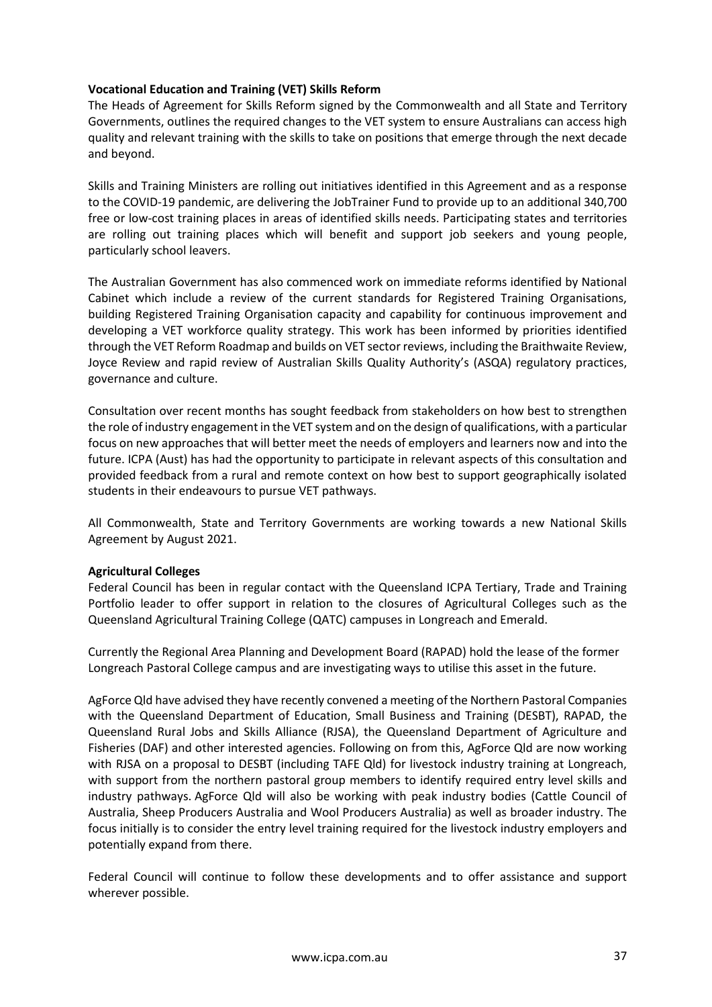## **Vocational Education and Training (VET) Skills Reform**

The Heads of Agreement for Skills Reform signed by the Commonwealth and all State and Territory Governments, outlines the required changes to the VET system to ensure Australians can access high quality and relevant training with the skills to take on positions that emerge through the next decade and beyond.

Skills and Training Ministers are rolling out initiatives identified in this Agreement and as a response to the COVID-19 pandemic, are delivering the JobTrainer Fund to provide up to an additional 340,700 free or low-cost training places in areas of identified skills needs. Participating states and territories are rolling out training places which will benefit and support job seekers and young people, particularly school leavers.

The Australian Government has also commenced work on immediate reforms identified by National Cabinet which include a review of the current standards for Registered Training Organisations, building Registered Training Organisation capacity and capability for continuous improvement and developing a VET workforce quality strategy. This work has been informed by priorities identified through the VET Reform Roadmap and builds on VET sector reviews, including the Braithwaite Review, Joyce Review and rapid review of Australian Skills Quality Authority's (ASQA) regulatory practices, governance and culture.

Consultation over recent months has sought feedback from stakeholders on how best to strengthen the role of industry engagement in the VET system and on the design of qualifications, with a particular focus on new approaches that will better meet the needs of employers and learners now and into the future. ICPA (Aust) has had the opportunity to participate in relevant aspects of this consultation and provided feedback from a rural and remote context on how best to support geographically isolated students in their endeavours to pursue VET pathways.

All Commonwealth, State and Territory Governments are working towards a new National Skills Agreement by August 2021.

### **Agricultural Colleges**

Federal Council has been in regular contact with the Queensland ICPA Tertiary, Trade and Training Portfolio leader to offer support in relation to the closures of Agricultural Colleges such as the Queensland Agricultural Training College (QATC) campuses in Longreach and Emerald.

Currently the Regional Area Planning and Development Board (RAPAD) hold the lease of the former Longreach Pastoral College campus and are investigating ways to utilise this asset in the future.

AgForce Qld have advised they have recently convened a meeting of the Northern Pastoral Companies with the Queensland Department of Education, Small Business and Training (DESBT), RAPAD, the Queensland Rural Jobs and Skills Alliance (RJSA), the Queensland Department of Agriculture and Fisheries (DAF) and other interested agencies. Following on from this, AgForce Qld are now working with RJSA on a proposal to DESBT (including TAFE Qld) for livestock industry training at Longreach, with support from the northern pastoral group members to identify required entry level skills and industry pathways. AgForce Qld will also be working with peak industry bodies (Cattle Council of Australia, Sheep Producers Australia and Wool Producers Australia) as well as broader industry. The focus initially is to consider the entry level training required for the livestock industry employers and potentially expand from there.

Federal Council will continue to follow these developments and to offer assistance and support wherever possible.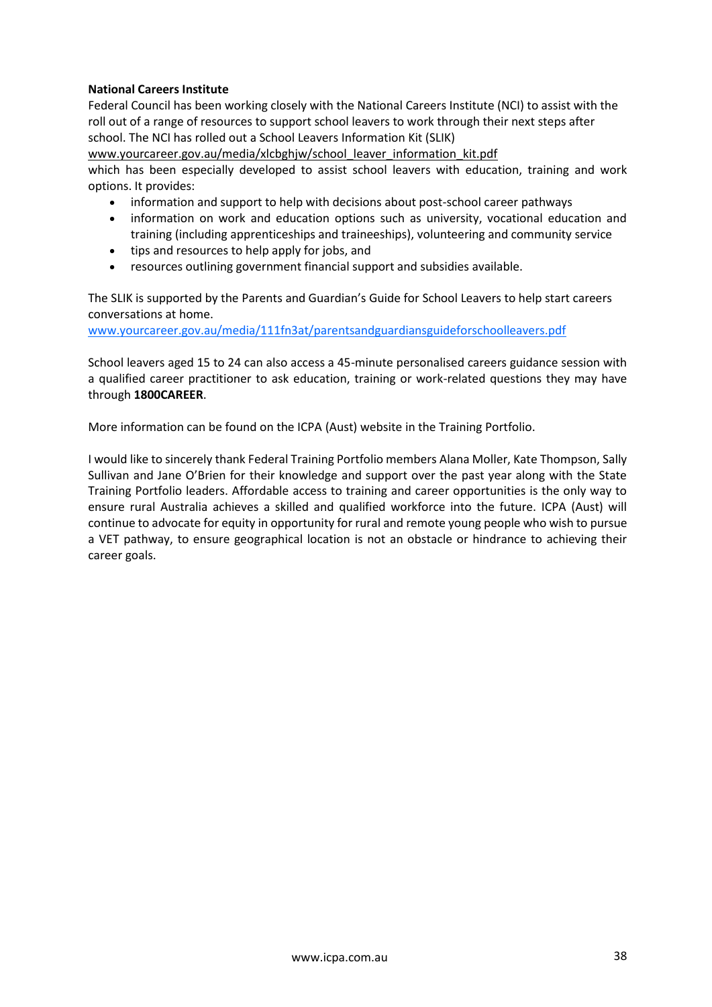## **National Careers Institute**

Federal Council has been working closely with the National Careers Institute (NCI) to assist with the roll out of a range of resources to support school leavers to work through their next steps after school. The NCI has rolled out a School Leavers Information Kit (SLIK)

www.yourcareer.gov.au/media/xlcbghiw/school\_leaver\_information\_kit.pdf which has been especially developed to assist school leavers with education, training and work options. It provides:

- information and support to help with decisions about post-school career pathways
- information on work and education options such as university, vocational education and training (including apprenticeships and traineeships), volunteering and community service
- tips and resources to help apply for jobs, and
- resources outlining government financial support and subsidies available.

The SLIK is supported by the Parents and Guardian's Guide for School Leavers to help start careers conversations at home.

[www.yourcareer.gov.au/media/111fn3at/parentsandguardiansguideforschoolleavers.pdf](http://www.yourcareer.gov.au/media/111fn3at/parentsandguardiansguideforschoolleavers.pdf) 

School leavers aged 15 to 24 can also access a 45-minute personalised careers guidance session with a qualified career practitioner to ask education, training or work-related questions they may have through **1800CAREER**.

More information can be found on the ICPA (Aust) website in the Training Portfolio.

I would like to sincerely thank Federal Training Portfolio members Alana Moller, Kate Thompson, Sally Sullivan and Jane O'Brien for their knowledge and support over the past year along with the State Training Portfolio leaders. Affordable access to training and career opportunities is the only way to ensure rural Australia achieves a skilled and qualified workforce into the future. ICPA (Aust) will continue to advocate for equity in opportunity for rural and remote young people who wish to pursue a VET pathway, to ensure geographical location is not an obstacle or hindrance to achieving their career goals.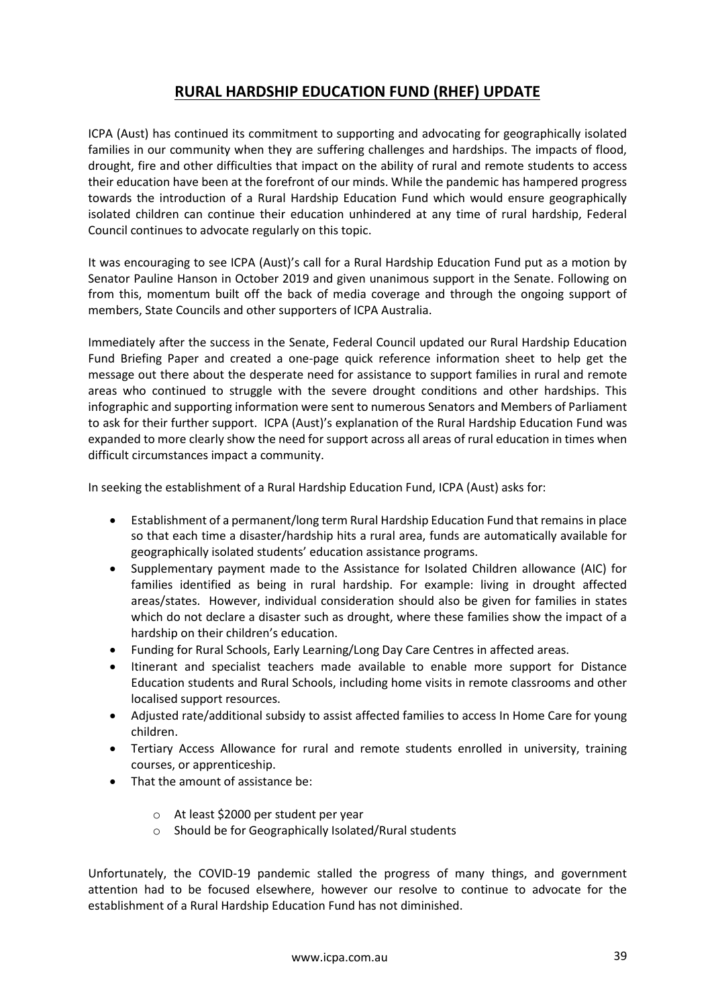# **RURAL HARDSHIP EDUCATION FUND (RHEF) UPDATE**

ICPA (Aust) has continued its commitment to supporting and advocating for geographically isolated families in our community when they are suffering challenges and hardships. The impacts of flood, drought, fire and other difficulties that impact on the ability of rural and remote students to access their education have been at the forefront of our minds. While the pandemic has hampered progress towards the introduction of a Rural Hardship Education Fund which would ensure geographically isolated children can continue their education unhindered at any time of rural hardship, Federal Council continues to advocate regularly on this topic.

It was encouraging to see ICPA (Aust)'s call for a Rural Hardship Education Fund put as a motion by Senator Pauline Hanson in October 2019 and given unanimous support in the Senate. Following on from this, momentum built off the back of media coverage and through the ongoing support of members, State Councils and other supporters of ICPA Australia.

Immediately after the success in the Senate, Federal Council updated our Rural Hardship Education Fund Briefing Paper and created a one-page quick reference information sheet to help get the message out there about the desperate need for assistance to support families in rural and remote areas who continued to struggle with the severe drought conditions and other hardships. This infographic and supporting information were sent to numerous Senators and Members of Parliament to ask for their further support. ICPA (Aust)'s explanation of the Rural Hardship Education Fund was expanded to more clearly show the need for support across all areas of rural education in times when difficult circumstances impact a community.

In seeking the establishment of a Rural Hardship Education Fund, ICPA (Aust) asks for:

- Establishment of a permanent/long term Rural Hardship Education Fund that remains in place so that each time a disaster/hardship hits a rural area, funds are automatically available for geographically isolated students' education assistance programs.
- Supplementary payment made to the Assistance for Isolated Children allowance (AIC) for families identified as being in rural hardship. For example: living in drought affected areas/states. However, individual consideration should also be given for families in states which do not declare a disaster such as drought, where these families show the impact of a hardship on their children's education.
- Funding for Rural Schools, Early Learning/Long Day Care Centres in affected areas.
- Itinerant and specialist teachers made available to enable more support for Distance Education students and Rural Schools, including home visits in remote classrooms and other localised support resources.
- Adjusted rate/additional subsidy to assist affected families to access In Home Care for young children.
- Tertiary Access Allowance for rural and remote students enrolled in university, training courses, or apprenticeship.
- That the amount of assistance be:
	- o At least \$2000 per student per year
	- o Should be for Geographically Isolated/Rural students

Unfortunately, the COVID-19 pandemic stalled the progress of many things, and government attention had to be focused elsewhere, however our resolve to continue to advocate for the establishment of a Rural Hardship Education Fund has not diminished.